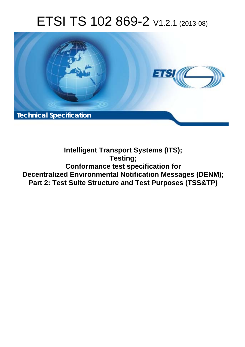# ETSI TS 102 869-2 V1.2.1 (2013-08)



**Intelligent Transport Systems (ITS); Testing; Conformance test specification for Decentralized Environmental Notification Messages (DENM); Part 2: Test Suite Structure and Test Purposes (TSS&TP)**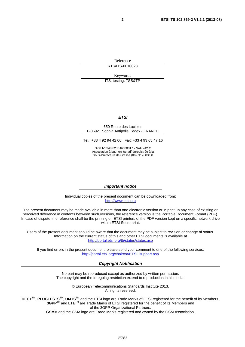Reference RTS/ITS-0010028

Keywords

ITS, testing, TSS&TP

#### *ETSI*

#### 650 Route des Lucioles F-06921 Sophia Antipolis Cedex - FRANCE

Tel.: +33 4 92 94 42 00 Fax: +33 4 93 65 47 16

Siret N° 348 623 562 00017 - NAF 742 C Association à but non lucratif enregistrée à la Sous-Préfecture de Grasse (06) N° 7803/88

#### *Important notice*

Individual copies of the present document can be downloaded from: [http://www.etsi.org](http://www.etsi.org/)

The present document may be made available in more than one electronic version or in print. In any case of existing or perceived difference in contents between such versions, the reference version is the Portable Document Format (PDF). In case of dispute, the reference shall be the printing on ETSI printers of the PDF version kept on a specific network drive within ETSI Secretariat.

Users of the present document should be aware that the document may be subject to revision or change of status. Information on the current status of this and other ETSI documents is available at <http://portal.etsi.org/tb/status/status.asp>

If you find errors in the present document, please send your comment to one of the following services: [http://portal.etsi.org/chaircor/ETSI\\_support.asp](http://portal.etsi.org/chaircor/ETSI_support.asp)

#### *Copyright Notification*

No part may be reproduced except as authorized by written permission. The copyright and the foregoing restriction extend to reproduction in all media.

> © European Telecommunications Standards Institute 2013. All rights reserved.

DECT<sup>™</sup>, PLUGTESTS<sup>™</sup>, UMTS<sup>™</sup> and the ETSI logo are Trade Marks of ETSI registered for the benefit of its Members. **3GPP**TM and **LTE**TM are Trade Marks of ETSI registered for the benefit of its Members and of the 3GPP Organizational Partners.

**GSM**® and the GSM logo are Trade Marks registered and owned by the GSM Association.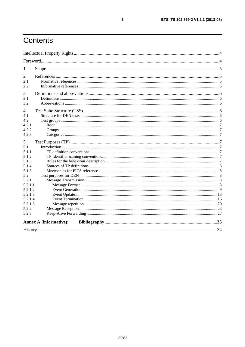# Contents

| -1             |                               |  |
|----------------|-------------------------------|--|
| 2              |                               |  |
| 2.1            |                               |  |
| 2.2            |                               |  |
| 3              |                               |  |
| 3.1            |                               |  |
| 3.2            |                               |  |
| 4              |                               |  |
| 4.1            |                               |  |
| 4.2            |                               |  |
| 4.2.1          |                               |  |
| 4.2.2          |                               |  |
| 4.2.3          |                               |  |
| 5              |                               |  |
| 5.1            |                               |  |
| 5.1.1          |                               |  |
| 5.1.2          |                               |  |
| 5.1.3          |                               |  |
| 5.1.4          |                               |  |
| 5.1.5          |                               |  |
| 5.2            |                               |  |
| 5.2.1          |                               |  |
| 5.2.1.1        |                               |  |
| 5.2.1.2        |                               |  |
| 5.2.1.3        |                               |  |
| 5.2.1.4        |                               |  |
| 5.2.1.5        |                               |  |
| 5.2.2<br>5.2.3 |                               |  |
|                |                               |  |
|                | <b>Annex A (informative):</b> |  |
|                |                               |  |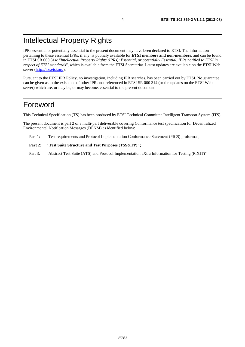# Intellectual Property Rights

IPRs essential or potentially essential to the present document may have been declared to ETSI. The information pertaining to these essential IPRs, if any, is publicly available for **ETSI members and non-members**, and can be found in ETSI SR 000 314: *"Intellectual Property Rights (IPRs); Essential, or potentially Essential, IPRs notified to ETSI in respect of ETSI standards"*, which is available from the ETSI Secretariat. Latest updates are available on the ETSI Web server [\(http://ipr.etsi.org\)](http://webapp.etsi.org/IPR/home.asp).

Pursuant to the ETSI IPR Policy, no investigation, including IPR searches, has been carried out by ETSI. No guarantee can be given as to the existence of other IPRs not referenced in ETSI SR 000 314 (or the updates on the ETSI Web server) which are, or may be, or may become, essential to the present document.

### Foreword

This Technical Specification (TS) has been produced by ETSI Technical Committee Intelligent Transport System (ITS).

The present document is part 2 of a multi-part deliverable covering Conformance test specification for Decentralized Environmental Notification Messages (DENM) as identified below:

Part 1: "Test requirements and Protocol Implementation Conformance Statement (PICS) proforma";

#### Part 2: "Test Suite Structure and Test Purposes (TSS&TP)";

Part 3: "Abstract Test Suite (ATS) and Protocol Implementation eXtra Information for Testing (PIXIT)".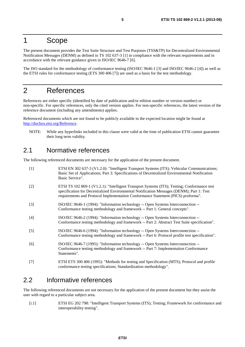### 1 Scope

The present document provides the Test Suite Structure and Test Purposes (TSS&TP) for Decentralized Environmental Notification Messages (DENM) as defined in TS 102 637-3 [1] in compliance with the relevant requirements and in accordance with the relevant guidance given in ISO/IEC 9646-7 [6].

The ISO standard for the methodology of conformance testing (ISO/IEC 9646-1 [3] and ISO/IEC 9646-2 [4]) as well as the ETSI rules for conformance testing (ETS 300 406 [7]) are used as a basis for the test methodology.

# 2 References

References are either specific (identified by date of publication and/or edition number or version number) or non-specific. For specific references, only the cited version applies. For non-specific references, the latest version of the reference document (including any amendments) applies.

Referenced documents which are not found to be publicly available in the expected location might be found at [http://docbox.etsi.org/Reference.](http://docbox.etsi.org/Reference)

NOTE: While any hyperlinks included in this clause were valid at the time of publication ETSI cannot guarantee their long term validity.

#### 2.1 Normative references

The following referenced documents are necessary for the application of the present document.

| $\lceil 1 \rceil$ | ETSI EN 302 637-3 (V1.2.0): "Intelligent Transport Systems (ITS); Vehicular Communications;<br>Basic Set of Applications; Part 3: Specifications of Decentralized Environmental Notification<br>Basic Service".                                                             |
|-------------------|-----------------------------------------------------------------------------------------------------------------------------------------------------------------------------------------------------------------------------------------------------------------------------|
| $[2]$             | ETSI TS 102 869-1 (V1.2.1): "Intelligent Transport Systems (ITS); Testing; Conformance test<br>specification for Decentralized Environmental Notification Messages (DENM); Part 1: Test<br>requirements and Protocol Implementation Conformance Statement (PICS) proforma". |
| $[3]$             | ISO/IEC 9646-1 (1994): "Information technology -- Open Systems Interconnection --<br>Conformance testing methodology and framework -- Part 1: General concepts".                                                                                                            |
| $[4]$             | ISO/IEC 9646-2 (1994): "Information technology -- Open Systems Interconnection --<br>Conformance testing methodology and framework -- Part 2: Abstract Test Suite specification".                                                                                           |
| $[5]$             | ISO/IEC 9646-6 (1994): "Information technology -- Open Systems Interconnection --<br>Conformance testing methodology and framework -- Part 6: Protocol profile test specification".                                                                                         |
| [6]               | ISO/IEC 9646-7 (1995): "Information technology -- Open Systems Interconnection --<br>Conformance testing methodology and framework -- Part 7: Implementation Conformance<br>Statements".                                                                                    |
| $[7]$             | ETSI ETS 300 406 (1995): "Methods for testing and Specification (MTS); Protocol and profile<br>conformance testing specifications; Standardization methodology".                                                                                                            |

### 2.2 Informative references

The following referenced documents are not necessary for the application of the present document but they assist the user with regard to a particular subject area.

[i.1] ETSI EG 202 798: "Intelligent Transport Systems (ITS); Testing; Framework for conformance and interoperability testing".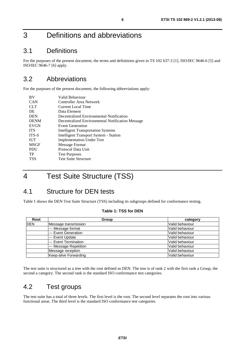# 3 Definitions and abbreviations

### 3.1 Definitions

For the purposes of the present document, the terms and definitions given in TS 102 637-3 [1], ISO/IEC 9646-6 [5] and ISO/IEC 9646-7 [6] apply.

### 3.2 Abbreviations

For the purposes of the present document, the following abbreviations apply:

| <b>BV</b>    | Valid Behaviour                                  |
|--------------|--------------------------------------------------|
| <b>CAN</b>   | Controller Area Network                          |
| <b>CLT</b>   | Current Local Time                               |
| DE           | Data Element                                     |
| <b>DEN</b>   | Decentralized Environmental Notification         |
| <b>DENM</b>  | Decentralized Environmental Notification Message |
| <b>EVGN</b>  | <b>Event Generation</b>                          |
| <b>ITS</b>   | <b>Intelligent Transportation Systems</b>        |
| <b>ITS-S</b> | <b>Intelligent Transport System - Station</b>    |
| <b>IUT</b>   | <b>Implementation Under Test</b>                 |
| <b>MSGF</b>  | Message Format                                   |
| <b>PDU</b>   | Protocol Data Unit                               |
| <b>TP</b>    | <b>Test Purposes</b>                             |
| <b>TSS</b>   | <b>Test Suite Structure</b>                      |

# 4 Test Suite Structure (TSS)

### 4.1 Structure for DEN tests

Table 1 shows the DEN Test Suite Structure (TSS) including its subgroups defined for conformance testing.

|  | <b>Table 1: TSS for DEN</b> |  |
|--|-----------------------------|--|
|--|-----------------------------|--|

| Root       | Group                  | category        |
|------------|------------------------|-----------------|
| <b>DEN</b> | Message transmission   | Valid behaviour |
|            | --- Message format     | Valid behaviour |
|            | --- Event Generation   | Valid behaviour |
|            | I--- Event Update      | Valid behaviour |
|            | --- Event Termination  | Valid behaviour |
|            | --- Message Repetition | Valid behaviour |
|            | Message reception      | Valid behaviour |
|            | Keep-alive Forwarding  | Valid behaviour |

The test suite is structured as a tree with the root defined as DEN. The tree is of rank 2 with the first rank a Group, the second a category. The second rank is the standard ISO conformance test categories.

#### 4.2 Test groups

The test suite has a total of three levels. The first level is the root. The second level separates the root into various functional areas. The third level is the standard ISO conformance test categories.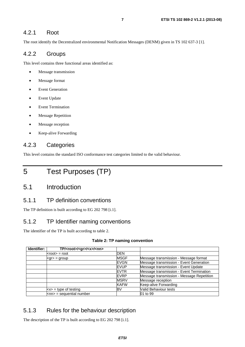#### 4.2.1 Root

The root identify the Decentralized environmental Notification Messages (DENM) given in TS 102 637-3 [1].

#### 4.2.2 Groups

This level contains three functional areas identified as:

- Message transmission
- Message format
- Event Generation
- Event Update
- Event Termination
- **Message Repetition**
- Message reception
- Keep-alive Forwarding

#### 4.2.3 Categories

This level contains the standard ISO conformance test categories limited to the valid behaviour.

# 5 Test Purposes (TP)

### 5.1 Introduction

#### 5.1.1 TP definition conventions

The TP definition is built according to EG 202 798 [i.1].

#### 5.1.2 TP Identifier naming conventions

The identifier of the TP is built according to table 2.

#### **Table 2: TP naming convention**

| Identifier: | TP/ <root>/<gr>/<x>/<nn></nn></x></gr></root> |              |                                           |
|-------------|-----------------------------------------------|--------------|-------------------------------------------|
|             | $<$ root $>$ = root                           | <b>DEN</b>   |                                           |
|             | $\text{q}$ r $>$ = group                      | <b>MSGF</b>  | Message transmission - Message format     |
|             |                                               | <b>IEVGN</b> | Message transmission - Event Generation   |
|             |                                               | <b>IEVUP</b> | Message transmission - Event Update       |
|             |                                               | <b>EVTR</b>  | Message transmission - Event Termination  |
|             |                                               | <b>EVRP</b>  | Message transmission - Message Repetition |
|             |                                               | <b>MSRV</b>  | Message reception                         |
|             |                                               | <b>KAFW</b>  | Keep-alive Forwarding                     |
|             | $\langle x \rangle$ = type of testing         | BV           | Valid Behaviour tests                     |
|             | $\textsf{knn}$ = sequential number            |              | 01 to 99                                  |

#### 5.1.3 Rules for the behaviour description

The description of the TP is built according to EG 202 798 [i.1].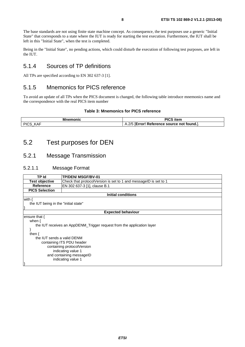The base standards are not using finite state machine concept. As consequence, the test purposes use a generic "Initial State" that corresponds to a state where the IUT is ready for starting the test execution. Furthermore, the IUT shall be left in this "Initial State", when the test is completed.

Being in the "Initial State", no pending actions, which could disturb the execution of following test purposes, are left in the IUT.

#### 5.1.4 Sources of TP definitions

All TPs are specified according to EN 302 637-3 [1].

#### 5.1.5 Mnemonics for PICS reference

To avoid an update of all TPs when the PICS document is changed, the following table introduce mnemonics name and the correspondence with the real PICS item number

#### **Table 3: Mnemonics for PICS reference**

| monic           | <b>TABLES</b><br>nen                                                                         |
|-----------------|----------------------------------------------------------------------------------------------|
| ା $cc$<br>7 N C | $2/\Gamma$<br>! Reference source not found.l.<br>-----<br>▵<br>$F$ $F$ $F$ $F$ $F$<br>7.Z/ U |

### 5.2 Test purposes for DEN

#### 5.2.1 Message Transmission

#### 5.2.1.1 Message Format

| TP Id                                | <b>TP/DEN/ MSGF/BV-01</b>                                              |  |  |
|--------------------------------------|------------------------------------------------------------------------|--|--|
| <b>Test objective</b>                | Check that protocolVersion is set to 1 and messageID is set to 1       |  |  |
| <b>Reference</b>                     | EN 302 637-3 [1], clause B.1                                           |  |  |
| <b>PICS Selection</b>                |                                                                        |  |  |
|                                      | <b>Initial conditions</b>                                              |  |  |
| with $\{$                            |                                                                        |  |  |
| the IUT being in the "initial state" |                                                                        |  |  |
|                                      |                                                                        |  |  |
|                                      | <b>Expected behaviour</b>                                              |  |  |
| ensure that {                        |                                                                        |  |  |
| when $\{$                            |                                                                        |  |  |
|                                      | the IUT receives an AppDENM_Trigger request from the application layer |  |  |
|                                      |                                                                        |  |  |
| then $\{$                            |                                                                        |  |  |
|                                      | the IUT sends a valid DENM                                             |  |  |
| containing ITS PDU header            |                                                                        |  |  |
| containing protocolVersion           |                                                                        |  |  |
| indicating value 1                   |                                                                        |  |  |
| and containing messageID             |                                                                        |  |  |
|                                      | indicating value 1                                                     |  |  |
|                                      |                                                                        |  |  |
|                                      |                                                                        |  |  |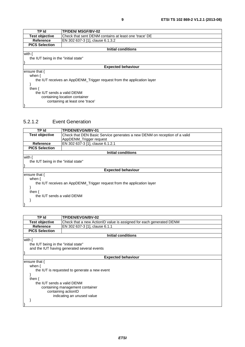| <b>TP Id</b>                                                           | <b>TP/DEN/ MSGF/BV-02</b>                             |  |  |
|------------------------------------------------------------------------|-------------------------------------------------------|--|--|
| <b>Test objective</b>                                                  | Check that sent DENM contains at least one 'trace' DE |  |  |
| <b>Reference</b>                                                       | EN 302 637-3 [1], clause 6.1.3.2                      |  |  |
| <b>PICS Selection</b>                                                  |                                                       |  |  |
|                                                                        | Initial conditions                                    |  |  |
| with {                                                                 |                                                       |  |  |
| the IUT being in the "initial state"                                   |                                                       |  |  |
|                                                                        |                                                       |  |  |
|                                                                        | <b>Expected behaviour</b>                             |  |  |
| ensure that {                                                          |                                                       |  |  |
| when $\{$                                                              |                                                       |  |  |
| the IUT receives an AppDENM_Trigger request from the application layer |                                                       |  |  |
|                                                                        |                                                       |  |  |
| then $\{$                                                              |                                                       |  |  |
| the IUT sends a valid DENM                                             |                                                       |  |  |
| containing location container                                          |                                                       |  |  |
| containing at least one 'trace'                                        |                                                       |  |  |
|                                                                        |                                                       |  |  |

#### 5.2.1.2 Event Generation



| TP Id                                | TP/DEN/EVGN/BV-02                                                   |  |  |
|--------------------------------------|---------------------------------------------------------------------|--|--|
| <b>Test objective</b>                | Check that a new ActionID value is assigned for each generated DENM |  |  |
| Reference                            | EN 302 637-3 [1], clause 6.1.1                                      |  |  |
| <b>PICS Selection</b>                |                                                                     |  |  |
|                                      | Initial conditions                                                  |  |  |
| with $\{$                            |                                                                     |  |  |
| the IUT being in the "initial state" |                                                                     |  |  |
|                                      | and the IUT having generated several events                         |  |  |
|                                      |                                                                     |  |  |
| <b>Expected behaviour</b>            |                                                                     |  |  |
| ensure that {                        |                                                                     |  |  |
| when $\{$                            |                                                                     |  |  |
|                                      | the IUT is requested to generate a new event                        |  |  |
|                                      |                                                                     |  |  |
| then $\{$                            |                                                                     |  |  |
| the IUT sends a valid DENM           |                                                                     |  |  |
| containing management container      |                                                                     |  |  |
| containing actionID                  |                                                                     |  |  |
| indicating an unused value           |                                                                     |  |  |
|                                      |                                                                     |  |  |
|                                      |                                                                     |  |  |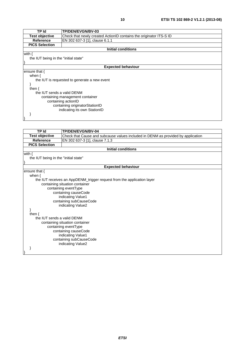| TP Id                                | <b>TP/DEN/EVGN/BV-03</b>                                           |  |  |
|--------------------------------------|--------------------------------------------------------------------|--|--|
| <b>Test objective</b>                | Check that newly created ActionID contains the originator ITS-S ID |  |  |
| Reference                            | EN 302 637-3 [1], clause 6.1.1                                     |  |  |
| <b>PICS Selection</b>                |                                                                    |  |  |
|                                      | <b>Initial conditions</b>                                          |  |  |
| with $\{$                            |                                                                    |  |  |
| the IUT being in the "initial state" |                                                                    |  |  |
|                                      |                                                                    |  |  |
|                                      | <b>Expected behaviour</b>                                          |  |  |
| ensure that {                        |                                                                    |  |  |
| when $\{$                            |                                                                    |  |  |
|                                      | the IUT is requested to generate a new event                       |  |  |
|                                      |                                                                    |  |  |
| then $\{$                            |                                                                    |  |  |
| the IUT sends a valid DENM           |                                                                    |  |  |
| containing management container      |                                                                    |  |  |
| containing actionID                  |                                                                    |  |  |
| containing originatorStationID       |                                                                    |  |  |
| indicating its own StationID         |                                                                    |  |  |
|                                      |                                                                    |  |  |
|                                      |                                                                    |  |  |

| <b>TP Id</b>                         | TP/DEN/EVGN/BV-04                                                                |  |  |
|--------------------------------------|----------------------------------------------------------------------------------|--|--|
| <b>Test objective</b>                | Check that Cause and subcause values included in DENM as provided by application |  |  |
| <b>Reference</b>                     | EN 302 637-3 [1], clause 7.1.3                                                   |  |  |
| <b>PICS Selection</b>                |                                                                                  |  |  |
|                                      | <b>Initial conditions</b>                                                        |  |  |
| with $\{$                            |                                                                                  |  |  |
| the IUT being in the "initial state" |                                                                                  |  |  |
|                                      |                                                                                  |  |  |
|                                      | <b>Expected behaviour</b>                                                        |  |  |
| ensure that {                        |                                                                                  |  |  |
| when $\{$                            |                                                                                  |  |  |
|                                      | the IUT receives an AppDENM_trigger request from the application layer           |  |  |
|                                      | containing situation container                                                   |  |  |
|                                      | containing eventType                                                             |  |  |
|                                      | containing causeCode                                                             |  |  |
|                                      | indicating Value1                                                                |  |  |
|                                      | containing subCauseCode                                                          |  |  |
|                                      | indicating Value2                                                                |  |  |
|                                      |                                                                                  |  |  |
|                                      | then $\{$                                                                        |  |  |
| the IUT sends a valid DENM           |                                                                                  |  |  |
| containing situation container       |                                                                                  |  |  |
|                                      | containing eventType                                                             |  |  |
| containing causeCode                 |                                                                                  |  |  |
| indicating Value1                    |                                                                                  |  |  |
|                                      | containing subCauseCode                                                          |  |  |
|                                      | indicating Value2                                                                |  |  |
|                                      |                                                                                  |  |  |
|                                      |                                                                                  |  |  |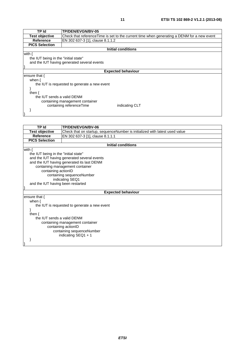| TP Id                                | <b>TP/DEN/EVGN/BV-05</b>                                                                    |  |  |
|--------------------------------------|---------------------------------------------------------------------------------------------|--|--|
| <b>Test objective</b>                | Check that reference Time is set to the current time when generating a DENM for a new event |  |  |
| <b>Reference</b>                     | EN 302 637-3 [1], clause 8.1.1.2                                                            |  |  |
| <b>PICS Selection</b>                |                                                                                             |  |  |
|                                      | <b>Initial conditions</b>                                                                   |  |  |
| with {                               |                                                                                             |  |  |
| the IUT being in the "initial state" |                                                                                             |  |  |
|                                      | and the IUT having generated several events                                                 |  |  |
|                                      |                                                                                             |  |  |
|                                      | <b>Expected behaviour</b>                                                                   |  |  |
| ensure that {                        |                                                                                             |  |  |
| when $\{$                            |                                                                                             |  |  |
|                                      | the IUT is requested to generate a new event                                                |  |  |
|                                      |                                                                                             |  |  |
| then $\{$                            |                                                                                             |  |  |
| the IUT sends a valid DENM           |                                                                                             |  |  |
|                                      | containing management container                                                             |  |  |
|                                      | containing referenceTime<br>indicating CLT                                                  |  |  |
|                                      |                                                                                             |  |  |
|                                      |                                                                                             |  |  |

| <b>TP Id</b>                         | TP/DEN/EVGN/BV-06                                                           |  |
|--------------------------------------|-----------------------------------------------------------------------------|--|
| <b>Test objective</b>                | Check that on startup, sequenceNumber is initialized with latest used value |  |
| <b>Reference</b>                     | EN 302 637-3 [1], clause 8.1.1.1                                            |  |
| <b>PICS Selection</b>                |                                                                             |  |
|                                      | <b>Initial conditions</b>                                                   |  |
| with $\{$                            |                                                                             |  |
| the IUT being in the "initial state" |                                                                             |  |
|                                      | and the IUT having generated several events                                 |  |
|                                      | and the IUT having generated its last DENM                                  |  |
|                                      | containing management container                                             |  |
| containing actionID                  |                                                                             |  |
|                                      | containing sequenceNumber                                                   |  |
|                                      | indicating SEQ1                                                             |  |
|                                      | and the IUT having been restarted                                           |  |
|                                      |                                                                             |  |
|                                      | <b>Expected behaviour</b>                                                   |  |
| ensure that {                        |                                                                             |  |
| when $\{$                            |                                                                             |  |
|                                      | the IUT is requested to generate a new event                                |  |
|                                      |                                                                             |  |
| then $\{$                            |                                                                             |  |
| the IUT sends a valid DENM           |                                                                             |  |
| containing management container      |                                                                             |  |
| containing actionID                  |                                                                             |  |
| containing sequenceNumber            |                                                                             |  |
|                                      | indicating SEQ1 + 1                                                         |  |
|                                      |                                                                             |  |
|                                      |                                                                             |  |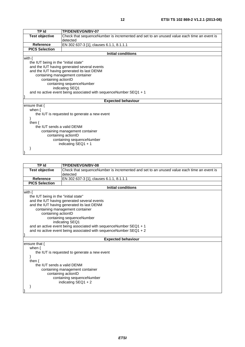| <b>TP Id</b>                         | TP/DEN/EVGN/BV-07                                                                         |  |
|--------------------------------------|-------------------------------------------------------------------------------------------|--|
| <b>Test objective</b>                | Check that sequenceNumber is incremented and set to an unused value each time an event is |  |
|                                      | detected                                                                                  |  |
| Reference                            | EN 302 637-3 [1], clauses 6.1.1, 8.1.1.1                                                  |  |
| <b>PICS Selection</b>                |                                                                                           |  |
|                                      | <b>Initial conditions</b>                                                                 |  |
| with $\{$                            |                                                                                           |  |
| the IUT being in the "initial state" |                                                                                           |  |
|                                      | and the IUT having generated several events                                               |  |
|                                      | and the IUT having generated its last DENM                                                |  |
|                                      | containing management container                                                           |  |
|                                      | containing actionID                                                                       |  |
|                                      | containing sequenceNumber                                                                 |  |
|                                      | indicating SEQ1                                                                           |  |
|                                      | and no active event being associated with sequenceNumber SEQ1 + 1                         |  |
|                                      |                                                                                           |  |
|                                      | <b>Expected behaviour</b>                                                                 |  |
| ensure that {                        |                                                                                           |  |
| when $\{$                            |                                                                                           |  |
|                                      | the IUT is requested to generate a new event                                              |  |
|                                      |                                                                                           |  |
| then $\{$                            |                                                                                           |  |
| the IUT sends a valid DENM           |                                                                                           |  |
| containing management container      |                                                                                           |  |
| containing actionID                  |                                                                                           |  |
| containing sequenceNumber            |                                                                                           |  |
|                                      | indicating $SEQ1 + 1$                                                                     |  |
|                                      |                                                                                           |  |
|                                      |                                                                                           |  |

| <b>TP Id</b>                                     | TP/DEN/EVGN/BV-08                                                                         |  |
|--------------------------------------------------|-------------------------------------------------------------------------------------------|--|
| <b>Test objective</b>                            | Check that sequenceNumber is incremented and set to an unused value each time an event is |  |
|                                                  | detected                                                                                  |  |
| <b>Reference</b>                                 | EN 302 637-3 [1], clauses 6.1.1, 8.1.1.1                                                  |  |
| <b>PICS Selection</b>                            |                                                                                           |  |
|                                                  | <b>Initial conditions</b>                                                                 |  |
| with $\{$                                        |                                                                                           |  |
| the IUT being in the "initial state"             |                                                                                           |  |
|                                                  | and the IUT having generated several events                                               |  |
|                                                  | and the IUT having generated its last DENM                                                |  |
|                                                  | containing management container                                                           |  |
| containing actionID                              |                                                                                           |  |
|                                                  | containing sequenceNumber                                                                 |  |
|                                                  | indicating SEQ1                                                                           |  |
|                                                  | and an active event being associated with sequence Number SEQ1 + 1                        |  |
|                                                  | and no active event being associated with sequence Number $SEQ1 + 2$                      |  |
|                                                  |                                                                                           |  |
|                                                  | <b>Expected behaviour</b>                                                                 |  |
| ensure that $\{$                                 |                                                                                           |  |
| when $\{$                                        |                                                                                           |  |
|                                                  | the IUT is requested to generate a new event                                              |  |
|                                                  |                                                                                           |  |
| then $\{$<br>the IUT sends a valid DENM          |                                                                                           |  |
|                                                  |                                                                                           |  |
| containing management container                  |                                                                                           |  |
| containing actionID<br>containing sequenceNumber |                                                                                           |  |
|                                                  | indicating $SEQ1 + 2$                                                                     |  |
|                                                  |                                                                                           |  |
|                                                  |                                                                                           |  |
|                                                  |                                                                                           |  |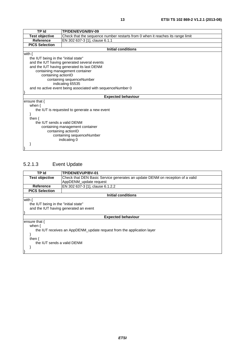| <b>TP Id</b>                                 | TP/DEN/EVGN/BV-09                                                              |  |
|----------------------------------------------|--------------------------------------------------------------------------------|--|
| <b>Test objective</b>                        | Check that the sequence number restarts from 0 when it reaches its range limit |  |
| <b>Reference</b>                             | EN 302 637-3 [1], clause 6.1.1                                                 |  |
| <b>PICS Selection</b>                        |                                                                                |  |
|                                              | <b>Initial conditions</b>                                                      |  |
| with $\{$                                    |                                                                                |  |
| the IUT being in the "initial state"         |                                                                                |  |
|                                              | and the IUT having generated several events                                    |  |
|                                              | and the IUT having generated its last DENM                                     |  |
|                                              | containing management container                                                |  |
| containing actionID                          |                                                                                |  |
|                                              | containing sequenceNumber                                                      |  |
|                                              | indicating 65535                                                               |  |
|                                              | and no active event being associated with sequenceNumber 0                     |  |
|                                              |                                                                                |  |
|                                              | <b>Expected behaviour</b>                                                      |  |
| ensure that $\{$                             |                                                                                |  |
| when $\{$                                    |                                                                                |  |
| the IUT is requested to generate a new event |                                                                                |  |
|                                              |                                                                                |  |
| then $\{$                                    |                                                                                |  |
| the IUT sends a valid DENM                   |                                                                                |  |
| containing management container              |                                                                                |  |
| containing actionID                          |                                                                                |  |
|                                              | containing sequenceNumber                                                      |  |
|                                              | indicating 0                                                                   |  |
|                                              |                                                                                |  |
|                                              |                                                                                |  |

### 5.2.1.3 Event Update

| TP Id                                                                 | TP/DEN/EVUP/BV-01                                                             |  |  |
|-----------------------------------------------------------------------|-------------------------------------------------------------------------------|--|--|
| <b>Test objective</b>                                                 | Check that DEN Basic Service generates an update DENM on reception of a valid |  |  |
|                                                                       | AppDENM update request                                                        |  |  |
| Reference                                                             | EN 302 637-3 [1], clause 6.1.2.2                                              |  |  |
| <b>PICS Selection</b>                                                 |                                                                               |  |  |
|                                                                       | Initial conditions                                                            |  |  |
| with $\{$                                                             |                                                                               |  |  |
| the IUT being in the "initial state"                                  |                                                                               |  |  |
|                                                                       | and the IUT having generated an event                                         |  |  |
|                                                                       |                                                                               |  |  |
|                                                                       | <b>Expected behaviour</b>                                                     |  |  |
| ensure that {                                                         |                                                                               |  |  |
| when $\{$                                                             |                                                                               |  |  |
| the IUT receives an AppDENM_update request from the application layer |                                                                               |  |  |
|                                                                       |                                                                               |  |  |
| then $\{$                                                             |                                                                               |  |  |
| the IUT sends a valid DENM                                            |                                                                               |  |  |
|                                                                       |                                                                               |  |  |
|                                                                       |                                                                               |  |  |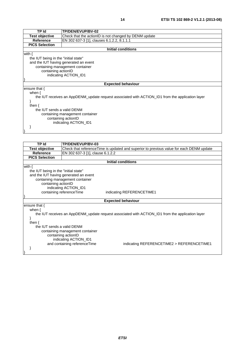| <b>TP Id</b>                                                                                     | TP/DEN/EVUP/BV-02                                     |  |  |
|--------------------------------------------------------------------------------------------------|-------------------------------------------------------|--|--|
| <b>Test objective</b>                                                                            | Check that the actionID is not changed by DENM update |  |  |
| <b>Reference</b>                                                                                 | EN 302 637-3 [1], clauses 6.1.2.2, 8.1.1.1            |  |  |
| <b>PICS Selection</b>                                                                            |                                                       |  |  |
|                                                                                                  | <b>Initial conditions</b>                             |  |  |
| with $\{$                                                                                        |                                                       |  |  |
| the IUT being in the "initial state"                                                             |                                                       |  |  |
|                                                                                                  | and the IUT having generated an event                 |  |  |
|                                                                                                  | containing management container                       |  |  |
|                                                                                                  | containing actionID                                   |  |  |
| indicating ACTION ID1                                                                            |                                                       |  |  |
|                                                                                                  |                                                       |  |  |
| <b>Expected behaviour</b>                                                                        |                                                       |  |  |
| ensure that $\{$                                                                                 |                                                       |  |  |
| when $\{$                                                                                        |                                                       |  |  |
| the IUT receives an AppDENM_update request associated with ACTION_ID1 from the application layer |                                                       |  |  |
| ł                                                                                                |                                                       |  |  |
| then $\{$                                                                                        |                                                       |  |  |
| the IUT sends a valid DENM                                                                       |                                                       |  |  |
| containing management container                                                                  |                                                       |  |  |
| containing actionID                                                                              |                                                       |  |  |
| indicating ACTION_ID1                                                                            |                                                       |  |  |
|                                                                                                  |                                                       |  |  |
|                                                                                                  |                                                       |  |  |

| TP Id                                                                                            | TP/DEN/EVUP/BV-03                                     |                                                                                         |  |
|--------------------------------------------------------------------------------------------------|-------------------------------------------------------|-----------------------------------------------------------------------------------------|--|
| <b>Test objective</b>                                                                            |                                                       | Check that referenceTime is updated and superior to previous value for each DENM update |  |
| <b>Reference</b>                                                                                 | EN 302 637-3 [1], clause 6.1.2.2                      |                                                                                         |  |
| <b>PICS Selection</b>                                                                            |                                                       |                                                                                         |  |
|                                                                                                  |                                                       | <b>Initial conditions</b>                                                               |  |
| with $\{$                                                                                        |                                                       |                                                                                         |  |
| the IUT being in the "initial state"                                                             |                                                       |                                                                                         |  |
|                                                                                                  | and the IUT having generated an event                 |                                                                                         |  |
|                                                                                                  | containing management container                       |                                                                                         |  |
|                                                                                                  | containing actionID                                   |                                                                                         |  |
| indicating ACTION_ID1                                                                            |                                                       |                                                                                         |  |
|                                                                                                  | containing referenceTime<br>indicating REFERENCETIME1 |                                                                                         |  |
|                                                                                                  |                                                       |                                                                                         |  |
|                                                                                                  |                                                       | <b>Expected behaviour</b>                                                               |  |
| ensure that $\{$                                                                                 |                                                       |                                                                                         |  |
| when $\{$                                                                                        |                                                       |                                                                                         |  |
| the IUT receives an AppDENM_update request associated with ACTION_ID1 from the application layer |                                                       |                                                                                         |  |
|                                                                                                  |                                                       |                                                                                         |  |
|                                                                                                  | then $\{$                                             |                                                                                         |  |
| the IUT sends a valid DENM                                                                       |                                                       |                                                                                         |  |
| containing management container                                                                  |                                                       |                                                                                         |  |
| containing actionID                                                                              |                                                       |                                                                                         |  |
|                                                                                                  | indicating ACTION_ID1                                 |                                                                                         |  |
|                                                                                                  | and containing referenceTime                          | indicating REFERENCETIME2 > REFERENCETIME1                                              |  |
|                                                                                                  |                                                       |                                                                                         |  |
|                                                                                                  |                                                       |                                                                                         |  |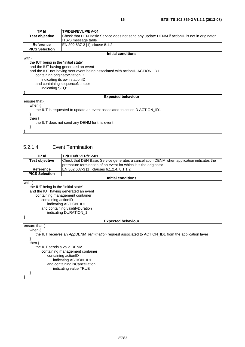| TP Id                                         | <b>TP/DEN/EVUP/BV-04</b>                                                                    |  |
|-----------------------------------------------|---------------------------------------------------------------------------------------------|--|
| <b>Test objective</b>                         | Check that DEN Basic Service does not send any update DENM if actionID is not in originator |  |
|                                               | ITS-S message table                                                                         |  |
| <b>Reference</b>                              | EN 302 637-3 [1], clause 8.1.2                                                              |  |
| <b>PICS Selection</b>                         |                                                                                             |  |
|                                               | <b>Initial conditions</b>                                                                   |  |
| with $\{$                                     |                                                                                             |  |
| the IUT being in the "initial state"          |                                                                                             |  |
|                                               | and the IUT having generated an event                                                       |  |
|                                               | and the IUT not having sent event being associated with actionID ACTION_ID1                 |  |
| containing originatorStationID                |                                                                                             |  |
|                                               | indicating its own stationID                                                                |  |
| and containing sequenceNumber                 |                                                                                             |  |
| indicating SEQ1                               |                                                                                             |  |
|                                               |                                                                                             |  |
|                                               | <b>Expected behaviour</b>                                                                   |  |
| ensure that $\{$                              |                                                                                             |  |
| when $\{$                                     |                                                                                             |  |
|                                               | the IUT is requested to update an event associated to actionID ACTION_ID1                   |  |
|                                               |                                                                                             |  |
| then $\{$                                     |                                                                                             |  |
| the IUT does not send any DENM for this event |                                                                                             |  |
|                                               |                                                                                             |  |
|                                               |                                                                                             |  |

#### 5.2.1.4 Event Termination

| TP Id                                                                                               | <b>TP/DEN/EVTR/BV-01</b>                                                                  |  |
|-----------------------------------------------------------------------------------------------------|-------------------------------------------------------------------------------------------|--|
| <b>Test objective</b>                                                                               | Check that DEN Basic Service generates a cancellation DENM when application indicates the |  |
|                                                                                                     | premature termination of an event for which it is the originator                          |  |
| <b>Reference</b>                                                                                    | EN 302 637-3 [1], clauses 6.1.2.4, 8.1.1.2                                                |  |
| <b>PICS Selection</b>                                                                               |                                                                                           |  |
|                                                                                                     | <b>Initial conditions</b>                                                                 |  |
| with $\{$                                                                                           |                                                                                           |  |
| the IUT being in the "initial state"                                                                |                                                                                           |  |
|                                                                                                     | and the IUT having generated an event                                                     |  |
|                                                                                                     | containing management container                                                           |  |
| containing actionID                                                                                 |                                                                                           |  |
|                                                                                                     | indicating ACTION_ID1                                                                     |  |
|                                                                                                     | and containing validityDuration                                                           |  |
| indicating DURATION_1                                                                               |                                                                                           |  |
|                                                                                                     |                                                                                           |  |
|                                                                                                     | <b>Expected behaviour</b>                                                                 |  |
| ensure that $\{$                                                                                    |                                                                                           |  |
| when $\{$                                                                                           |                                                                                           |  |
| the IUT receives an AppDENM_termination request associated to ACTION_ID1 from the application layer |                                                                                           |  |
|                                                                                                     |                                                                                           |  |
| then $\{$                                                                                           |                                                                                           |  |
| the IUT sends a valid DENM                                                                          |                                                                                           |  |
| containing management container                                                                     |                                                                                           |  |
| containing actionID                                                                                 |                                                                                           |  |
| indicating ACTION_ID1                                                                               |                                                                                           |  |
| and containing is Cancellation                                                                      |                                                                                           |  |
|                                                                                                     | indicating value TRUE                                                                     |  |
|                                                                                                     |                                                                                           |  |
|                                                                                                     |                                                                                           |  |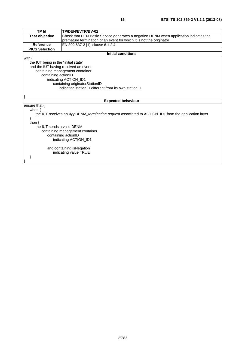| <b>TP Id</b>                                          | TP/DEN/EVTR/BV-02                                                                                          |  |  |
|-------------------------------------------------------|------------------------------------------------------------------------------------------------------------|--|--|
| <b>Test objective</b>                                 | Check that DEN Basic Service generates a negation DENM when application indicates the                      |  |  |
|                                                       | premature termination of an event for which it is not the originator                                       |  |  |
| Reference                                             | EN 302 637-3 [1], clause 6.1.2.4                                                                           |  |  |
| <b>PICS Selection</b>                                 |                                                                                                            |  |  |
|                                                       | <b>Initial conditions</b>                                                                                  |  |  |
| with $\{$                                             |                                                                                                            |  |  |
|                                                       | the IUT being in the "initial state"                                                                       |  |  |
| and the IUT having received an event                  |                                                                                                            |  |  |
|                                                       | containing management container                                                                            |  |  |
| containing actionID                                   |                                                                                                            |  |  |
|                                                       | indicating ACTION_ID1                                                                                      |  |  |
| containing originatorStationID                        |                                                                                                            |  |  |
| indicating stationID different from its own stationID |                                                                                                            |  |  |
|                                                       |                                                                                                            |  |  |
|                                                       |                                                                                                            |  |  |
|                                                       | <b>Expected behaviour</b>                                                                                  |  |  |
| ensure that $\{$                                      |                                                                                                            |  |  |
| when $\{$                                             |                                                                                                            |  |  |
|                                                       | the IUT receives an AppDENM <i>termination</i> request associated to ACTION ID1 from the application layer |  |  |
| Y                                                     |                                                                                                            |  |  |
| then $\{$                                             |                                                                                                            |  |  |
| the IUT sends a valid DENM                            |                                                                                                            |  |  |
| containing management container                       |                                                                                                            |  |  |
| containing actionID                                   |                                                                                                            |  |  |
|                                                       | indicating ACTION_ID1                                                                                      |  |  |
|                                                       |                                                                                                            |  |  |
|                                                       | and containing isNegation                                                                                  |  |  |
|                                                       | indicating value TRUE                                                                                      |  |  |
|                                                       |                                                                                                            |  |  |
|                                                       |                                                                                                            |  |  |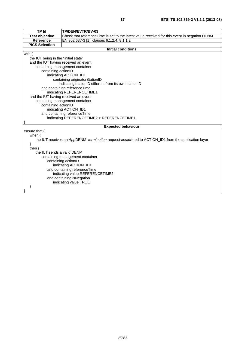| <b>TP Id</b>                         | TP/DEN/EVTR/BV-03                                                                                   |  |  |
|--------------------------------------|-----------------------------------------------------------------------------------------------------|--|--|
| <b>Test objective</b>                | Check that referenceTime is set to the latest value received for this event in negation DENM        |  |  |
| <b>Reference</b>                     | EN 302 637-3 [1], clauses 6.1.2.4, 8.1.1.2                                                          |  |  |
| <b>PICS Selection</b>                |                                                                                                     |  |  |
|                                      | <b>Initial conditions</b>                                                                           |  |  |
| with $\{$                            |                                                                                                     |  |  |
| the IUT being in the "initial state" |                                                                                                     |  |  |
| and the IUT having received an event |                                                                                                     |  |  |
|                                      | containing management container                                                                     |  |  |
| containing actionID                  |                                                                                                     |  |  |
|                                      | indicating ACTION_ID1                                                                               |  |  |
|                                      | containing originatorStationID                                                                      |  |  |
|                                      | indicating stationID different from its own stationID                                               |  |  |
|                                      | and containing referenceTime                                                                        |  |  |
|                                      | indicating REFERENCETIME1                                                                           |  |  |
| and the IUT having received an event |                                                                                                     |  |  |
|                                      | containing management container                                                                     |  |  |
| containing actionID                  |                                                                                                     |  |  |
|                                      | indicating ACTION_ID1                                                                               |  |  |
|                                      | and containing referenceTime                                                                        |  |  |
|                                      | indicating REFERENCETIME2 > REFERENCETIME1                                                          |  |  |
|                                      | <b>Expected behaviour</b>                                                                           |  |  |
| ensure that {                        |                                                                                                     |  |  |
|                                      |                                                                                                     |  |  |
| when $\{$                            | the IUT receives an AppDENM_termination request associated to ACTION_ID1 from the application layer |  |  |
| ł                                    |                                                                                                     |  |  |
| then $\{$                            |                                                                                                     |  |  |
|                                      | the IUT sends a valid DENM                                                                          |  |  |
| containing management container      |                                                                                                     |  |  |
| containing actionID                  |                                                                                                     |  |  |
| indicating ACTION_ID1                |                                                                                                     |  |  |
| and containing referenceTime         |                                                                                                     |  |  |
| indicating value REFERENCETIME2      |                                                                                                     |  |  |
| and containing isNegation            |                                                                                                     |  |  |
|                                      | indicating value TRUE                                                                               |  |  |
|                                      |                                                                                                     |  |  |
|                                      |                                                                                                     |  |  |
|                                      |                                                                                                     |  |  |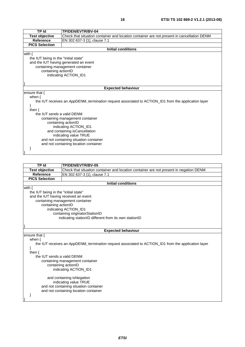| <b>TP Id</b>                          | TP/DEN/EVTR/BV-04                                                                                   |
|---------------------------------------|-----------------------------------------------------------------------------------------------------|
| <b>Test objective</b>                 | Check that situation container and location container are not present in cancellation DENM          |
| <b>Reference</b>                      | EN 302 637-3 [1], clause 7.1                                                                        |
| <b>PICS Selection</b>                 |                                                                                                     |
|                                       | <b>Initial conditions</b>                                                                           |
| with $\{$                             |                                                                                                     |
| the IUT being in the "initial state"  |                                                                                                     |
|                                       | and the IUT having generated an event                                                               |
|                                       | containing management container                                                                     |
| containing actionID                   |                                                                                                     |
| indicating ACTION_ID1                 |                                                                                                     |
|                                       |                                                                                                     |
|                                       |                                                                                                     |
|                                       | <b>Expected behaviour</b>                                                                           |
| ensure that {                         |                                                                                                     |
| when $\{$                             |                                                                                                     |
|                                       | the IUT receives an AppDENM_termination request associated to ACTION_ID1 from the application layer |
|                                       |                                                                                                     |
| then $\{$                             |                                                                                                     |
| the IUT sends a valid DENM            |                                                                                                     |
| containing management container       |                                                                                                     |
| containing actionID                   |                                                                                                     |
| indicating ACTION_ID1                 |                                                                                                     |
| and containing isCancellation         |                                                                                                     |
| indicating value TRUE                 |                                                                                                     |
|                                       | and not containing situation container                                                              |
| and not containing location container |                                                                                                     |
|                                       |                                                                                                     |

| TP Id                                | TP/DEN/EVTR/BV-05                                                                      |  |
|--------------------------------------|----------------------------------------------------------------------------------------|--|
| <b>Test objective</b>                | Check that situation container and location container are not present in negation DENM |  |
| Reference                            | EN 302 637-3 [1], clause 7.1                                                           |  |
| <b>PICS Selection</b>                |                                                                                        |  |
| Initial conditions                   |                                                                                        |  |
| with {                               |                                                                                        |  |
| the IUT being in the "initial state" |                                                                                        |  |
| and the IUT having received an event |                                                                                        |  |

 containing management container containing actionID indicating ACTION\_ID1 containing originatorStationID indicating stationID different from its own stationID

}

}

 } }

| <b>Expected behaviour</b>                                                                           |
|-----------------------------------------------------------------------------------------------------|
| ensure that {                                                                                       |
| when $\{$                                                                                           |
| the IUT receives an AppDENM_termination request associated to ACTION_ID1 from the application layer |
|                                                                                                     |
| then $\{$                                                                                           |
| the IUT sends a valid DENM                                                                          |
| containing management container<br>containing actionID                                              |
| indicating ACTION ID1                                                                               |
| and containing is Negation                                                                          |
| indicating value TRUE                                                                               |
| and not containing situation container                                                              |
| and not containing location container                                                               |
|                                                                                                     |
|                                                                                                     |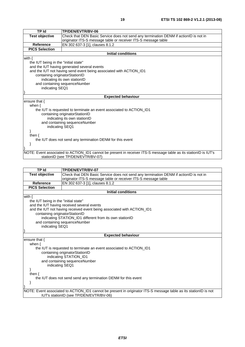| <b>TP Id</b>                                              | TP/DEN/EVTR/BV-06                                                                                                |  |
|-----------------------------------------------------------|------------------------------------------------------------------------------------------------------------------|--|
| <b>Test objective</b>                                     | Check that DEN Basic Service does not send any termination DENM if actionID is not in                            |  |
|                                                           | originator ITS-S message table or receiver ITS-S message table                                                   |  |
| <b>Reference</b>                                          | EN 302 637-3 [1], clauses 8.1.2                                                                                  |  |
| <b>PICS Selection</b>                                     |                                                                                                                  |  |
|                                                           | <b>Initial conditions</b>                                                                                        |  |
| with $\{$                                                 |                                                                                                                  |  |
| the IUT being in the "initial state"                      |                                                                                                                  |  |
|                                                           | and the IUT having generated several events                                                                      |  |
|                                                           | and the IUT not having send event being associated with ACTION_ID1                                               |  |
|                                                           | containing originatorStationID                                                                                   |  |
|                                                           | indicating its own stationID                                                                                     |  |
|                                                           | and containing sequenceNumber                                                                                    |  |
| indicating SEQ1                                           |                                                                                                                  |  |
|                                                           |                                                                                                                  |  |
|                                                           | <b>Expected behaviour</b>                                                                                        |  |
| ensure that $\{$                                          |                                                                                                                  |  |
| when $\{$                                                 |                                                                                                                  |  |
|                                                           | the IUT is requested to terminate an event associated to ACTION_ID1                                              |  |
| containing originatorStationID                            |                                                                                                                  |  |
| indicating its own stationID                              |                                                                                                                  |  |
|                                                           | and containing sequenceNumber                                                                                    |  |
| indicating SEQ1                                           |                                                                                                                  |  |
|                                                           |                                                                                                                  |  |
| then $\{$                                                 |                                                                                                                  |  |
| the IUT does not send any termination DENM for this event |                                                                                                                  |  |
|                                                           |                                                                                                                  |  |
|                                                           |                                                                                                                  |  |
|                                                           | NOTE: Event associated to ACTION_ID1 cannot be present in receiver ITS-S message table as its stationID is IUT's |  |
| stationID (see TP/DEN/EVTR/BV-07)                         |                                                                                                                  |  |

| <b>TP Id</b>                                                   | TP/DEN/EVTR/BV-07                                                                                                                                           |  |
|----------------------------------------------------------------|-------------------------------------------------------------------------------------------------------------------------------------------------------------|--|
| <b>Test objective</b>                                          | Check that DEN Basic Service does not send any termination DENM if actionID is not in                                                                       |  |
|                                                                | originator ITS-S message table or receiver ITS-S message table                                                                                              |  |
| Reference                                                      | EN 302 637-3 [1]. clauses 8.1.2                                                                                                                             |  |
| <b>PICS Selection</b>                                          |                                                                                                                                                             |  |
|                                                                | <b>Initial conditions</b>                                                                                                                                   |  |
| with $\{$                                                      |                                                                                                                                                             |  |
| the IUT being in the "initial state"                           |                                                                                                                                                             |  |
|                                                                | and the IUT having received several events                                                                                                                  |  |
|                                                                | and the IUT not having received event being associated with ACTION_ID1                                                                                      |  |
| containing originatorStationID                                 |                                                                                                                                                             |  |
|                                                                | indicating STATION_ID1 different from its own stationID                                                                                                     |  |
|                                                                | and containing sequenceNumber                                                                                                                               |  |
|                                                                | indicating SEQ1                                                                                                                                             |  |
|                                                                |                                                                                                                                                             |  |
|                                                                | <b>Expected behaviour</b>                                                                                                                                   |  |
| ensure that $\{$                                               |                                                                                                                                                             |  |
| when $\{$                                                      |                                                                                                                                                             |  |
|                                                                | the IUT is requested to terminate an event associated to ACTION_ID1                                                                                         |  |
|                                                                | containing originatorStationID                                                                                                                              |  |
|                                                                | indicating STATION_ID1                                                                                                                                      |  |
|                                                                | and containing sequenceNumber                                                                                                                               |  |
| indicating SEQ1                                                |                                                                                                                                                             |  |
|                                                                |                                                                                                                                                             |  |
| then $\{$                                                      |                                                                                                                                                             |  |
| the IUT does not send send any termination DENM for this event |                                                                                                                                                             |  |
|                                                                |                                                                                                                                                             |  |
|                                                                |                                                                                                                                                             |  |
|                                                                | NOTE: Event associated to ACTION_ID1 cannot be present in originator ITS-S message table as its stationID is not<br>IUT's stationID (see TP/DEN/EVTR/BV-06) |  |
|                                                                |                                                                                                                                                             |  |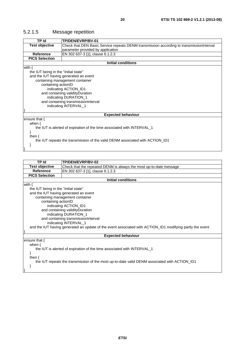#### 5.2.1.5 Message repetition

| TP Id                                                                         | TP/DEN/EVRP/BV-01                                                                         |  |
|-------------------------------------------------------------------------------|-------------------------------------------------------------------------------------------|--|
| <b>Test objective</b>                                                         | Check that DEN Basic Service repeats DENM transmission according to transmission Interval |  |
|                                                                               | parameter provided by application                                                         |  |
| <b>Reference</b>                                                              | EN 302 637-3 [1], clause 6.1.2.3                                                          |  |
| <b>PICS Selection</b>                                                         |                                                                                           |  |
|                                                                               | <b>Initial conditions</b>                                                                 |  |
| with $\{$                                                                     |                                                                                           |  |
| the IUT being in the "initial state"                                          |                                                                                           |  |
|                                                                               | and the IUT having generated an event                                                     |  |
| containing management container                                               |                                                                                           |  |
| containing actionID                                                           |                                                                                           |  |
|                                                                               | indicating ACTION_ID1                                                                     |  |
| and containing validityDuration                                               |                                                                                           |  |
| indicating DURATION_1                                                         |                                                                                           |  |
| and containing transmissionInterval                                           |                                                                                           |  |
|                                                                               | indicating INTERVAL_1                                                                     |  |
|                                                                               |                                                                                           |  |
|                                                                               | <b>Expected behaviour</b>                                                                 |  |
| ensure that {                                                                 |                                                                                           |  |
| when $\{$                                                                     |                                                                                           |  |
|                                                                               | the IUT is alerted of expiration of the time associated with INTERVAL_1                   |  |
|                                                                               |                                                                                           |  |
| then $\{$                                                                     |                                                                                           |  |
| the IUT repeats the transmission of the valid DENM associated with ACTION_ID1 |                                                                                           |  |
|                                                                               |                                                                                           |  |
|                                                                               |                                                                                           |  |
|                                                                               |                                                                                           |  |
| גו סד                                                                         | TD/NCN/CVDD/RV_02                                                                         |  |

| 1 P 1 0                                                                                                   | <b>IP/DEN/EVRP/BV-02</b>                                                                      |  |
|-----------------------------------------------------------------------------------------------------------|-----------------------------------------------------------------------------------------------|--|
| <b>Test objective</b>                                                                                     | Check that the repeated DENM is always the most up-to-date message                            |  |
| <b>Reference</b>                                                                                          | EN 302 637-3 [1], clause 6.1.2.3                                                              |  |
| <b>PICS Selection</b>                                                                                     |                                                                                               |  |
|                                                                                                           | <b>Initial conditions</b>                                                                     |  |
| with $\{$                                                                                                 |                                                                                               |  |
| the IUT being in the "initial state"                                                                      |                                                                                               |  |
|                                                                                                           | and the IUT having generated an event                                                         |  |
|                                                                                                           | containing management container                                                               |  |
| containing actionID                                                                                       |                                                                                               |  |
|                                                                                                           | indicating ACTION ID1                                                                         |  |
|                                                                                                           | and containing validity Duration                                                              |  |
|                                                                                                           | indicating DURATION_1                                                                         |  |
| and containing transmissionInterval                                                                       |                                                                                               |  |
| indicating INTERVAL_1                                                                                     |                                                                                               |  |
| and the IUT having generated an update of the event associated with ACTION_ID1 modifying partly the event |                                                                                               |  |
|                                                                                                           |                                                                                               |  |
| <b>Expected behaviour</b>                                                                                 |                                                                                               |  |
| ensure that $\{$                                                                                          |                                                                                               |  |
| when $\{$                                                                                                 |                                                                                               |  |
| the IUT is alerted of expiration of the time associated with INTERVAL_1                                   |                                                                                               |  |
|                                                                                                           |                                                                                               |  |
| then $\{$                                                                                                 |                                                                                               |  |
|                                                                                                           | the IUT repeats the transmission of the most up-to-date valid DENM associated with ACTION ID1 |  |
|                                                                                                           |                                                                                               |  |
|                                                                                                           |                                                                                               |  |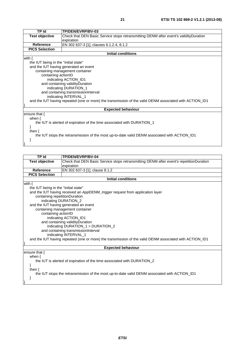| <b>TP Id</b>                                                                                            | <b>TP/DEN/EVRP/BV-03</b>                                                                      |  |
|---------------------------------------------------------------------------------------------------------|-----------------------------------------------------------------------------------------------|--|
| <b>Test objective</b>                                                                                   | Check that DEN Basic Service stops retransmitting DENM after event's validityDuration         |  |
|                                                                                                         | expiration                                                                                    |  |
| Reference                                                                                               | EN 302 637-3 [1], clauses 6.1.2.4, 8.1.2                                                      |  |
| <b>PICS Selection</b>                                                                                   |                                                                                               |  |
|                                                                                                         | <b>Initial conditions</b>                                                                     |  |
| with $\{$                                                                                               |                                                                                               |  |
| the IUT being in the "initial state"                                                                    |                                                                                               |  |
|                                                                                                         | and the IUT having generated an event                                                         |  |
|                                                                                                         | containing management container                                                               |  |
| containing actionID                                                                                     |                                                                                               |  |
|                                                                                                         | indicating ACTION_ID1                                                                         |  |
|                                                                                                         | and containing validityDuration                                                               |  |
|                                                                                                         | indicating DURATION_1                                                                         |  |
|                                                                                                         | and containing transmissionInterval                                                           |  |
|                                                                                                         | indicating INTERVAL 1                                                                         |  |
| and the IUT having repeated (one or more) the transmission of the valid DENM associated with ACTION_ID1 |                                                                                               |  |
|                                                                                                         |                                                                                               |  |
|                                                                                                         | <b>Expected behaviour</b>                                                                     |  |
| ensure that $\{$                                                                                        |                                                                                               |  |
| when $\{$                                                                                               |                                                                                               |  |
| the IUT is alerted of expiration of the time associated with DURATION 1                                 |                                                                                               |  |
| ł                                                                                                       |                                                                                               |  |
| then $\{$                                                                                               |                                                                                               |  |
|                                                                                                         | the IUT stops the retransmission of the most up-to-date valid DENM associated with ACTION_ID1 |  |
|                                                                                                         |                                                                                               |  |
|                                                                                                         |                                                                                               |  |

| TP Id                                                                   | TP/DEN/EVRP/BV-04                                                                                       |  |
|-------------------------------------------------------------------------|---------------------------------------------------------------------------------------------------------|--|
| <b>Test objective</b>                                                   | Check that DEN Basic Service stops retransmitting DENM after event's repetitionDuration                 |  |
|                                                                         | expiration                                                                                              |  |
| <b>Reference</b>                                                        | EN 302 637-3 [1], clause 8.1.2                                                                          |  |
| <b>PICS Selection</b>                                                   |                                                                                                         |  |
|                                                                         | <b>Initial conditions</b>                                                                               |  |
| with $\{$                                                               |                                                                                                         |  |
| the IUT being in the "initial state"                                    |                                                                                                         |  |
|                                                                         | and the IUT having received an AppDENM_trigger request from application layer                           |  |
| containing repetitionDuration                                           |                                                                                                         |  |
| indicating DURATION_2                                                   |                                                                                                         |  |
|                                                                         | and the IUT having generated an event                                                                   |  |
|                                                                         | containing management container                                                                         |  |
| containing actionID                                                     |                                                                                                         |  |
|                                                                         | indicating ACTION_ID1                                                                                   |  |
|                                                                         | and containing validity Duration                                                                        |  |
|                                                                         | indicating DURATION_1 > DURATION_2                                                                      |  |
|                                                                         | and containing transmissionInterval                                                                     |  |
|                                                                         | indicating INTERVAL_1                                                                                   |  |
|                                                                         | and the IUT having repeated (one or more) the transmission of the valid DENM associated with ACTION_ID1 |  |
|                                                                         |                                                                                                         |  |
| <b>Expected behaviour</b>                                               |                                                                                                         |  |
| ensure that {                                                           |                                                                                                         |  |
| when $\{$                                                               |                                                                                                         |  |
| the IUT is alerted of expiration of the time associated with DURATION_2 |                                                                                                         |  |
|                                                                         |                                                                                                         |  |
| then $\{$                                                               |                                                                                                         |  |
|                                                                         | the IUT stops the retransmission of the most up-to-date valid DENM associated with ACTION_ID1           |  |
| <sup>}</sup>                                                            |                                                                                                         |  |
|                                                                         |                                                                                                         |  |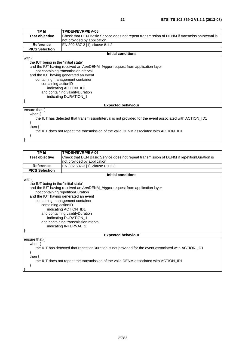| TP Id                                 | <b>TP/DEN/EVRP/BV-05</b>                                                                                 |  |
|---------------------------------------|----------------------------------------------------------------------------------------------------------|--|
| <b>Test objective</b>                 | Check that DEN Basic Service does not repeat transmission of DENM if transmission Interval is            |  |
|                                       | not provided by application                                                                              |  |
| <b>Reference</b>                      | EN 302 637-3 [1], clause 8.1.2                                                                           |  |
| <b>PICS Selection</b>                 |                                                                                                          |  |
|                                       | <b>Initial conditions</b>                                                                                |  |
| with $\{$                             |                                                                                                          |  |
| the IUT being in the "initial state"  |                                                                                                          |  |
|                                       | and the IUT having received an AppDENM_trigger request from application layer                            |  |
|                                       | not containing transmissionInterval                                                                      |  |
|                                       |                                                                                                          |  |
| and the IUT having generated an event |                                                                                                          |  |
|                                       | containing management container                                                                          |  |
|                                       | containing actionID                                                                                      |  |
|                                       | indicating ACTION_ID1                                                                                    |  |
|                                       | and containing validityDuration                                                                          |  |
| indicating DURATION_1                 |                                                                                                          |  |
|                                       |                                                                                                          |  |
|                                       | <b>Expected behaviour</b>                                                                                |  |
| ensure that $\{$                      |                                                                                                          |  |
| when $\{$                             |                                                                                                          |  |
|                                       | the IUT has detected that transmission Interval is not provided for the event associated with ACTION_ID1 |  |
|                                       |                                                                                                          |  |
| then $\{$                             |                                                                                                          |  |
|                                       | the IUT does not repeat the transmission of the valid DENM associated with ACTION_ID1                    |  |
|                                       |                                                                                                          |  |
|                                       |                                                                                                          |  |

}

| <b>TP Id</b>                                                                                          | <b>TP/DEN/EVRP/BV-06</b>                                                                   |  |
|-------------------------------------------------------------------------------------------------------|--------------------------------------------------------------------------------------------|--|
| <b>Test objective</b>                                                                                 | Check that DEN Basic Service does not repeat transmission of DENM if repetitionDuration is |  |
|                                                                                                       | not provided by application                                                                |  |
| <b>Reference</b>                                                                                      | EN 302 637-3 [1], clause 6.1.2.3                                                           |  |
| <b>PICS Selection</b>                                                                                 |                                                                                            |  |
|                                                                                                       | <b>Initial conditions</b>                                                                  |  |
| with $\{$                                                                                             |                                                                                            |  |
| the IUT being in the "initial state"                                                                  |                                                                                            |  |
|                                                                                                       | and the IUT having received an AppDENM_trigger request from application layer              |  |
|                                                                                                       | not containing repetitionDuration                                                          |  |
|                                                                                                       | and the IUT having generated an event                                                      |  |
|                                                                                                       | containing management container                                                            |  |
| containing actionID                                                                                   |                                                                                            |  |
|                                                                                                       | indicating ACTION_ID1                                                                      |  |
|                                                                                                       | and containing validityDuration                                                            |  |
|                                                                                                       | indicating DURATION_1                                                                      |  |
| and containing transmissionInterval                                                                   |                                                                                            |  |
| indicating INTERVAL_1                                                                                 |                                                                                            |  |
|                                                                                                       |                                                                                            |  |
| <b>Expected behaviour</b>                                                                             |                                                                                            |  |
| ensure that $\{$                                                                                      |                                                                                            |  |
| when $\{$                                                                                             |                                                                                            |  |
| the IUT has detected that repetitionDuration is not provided for the event associated with ACTION_ID1 |                                                                                            |  |
|                                                                                                       |                                                                                            |  |
| then $\{$                                                                                             |                                                                                            |  |
| the IUT does not repeat the transmission of the valid DENM associated with ACTION ID1                 |                                                                                            |  |
|                                                                                                       |                                                                                            |  |
|                                                                                                       |                                                                                            |  |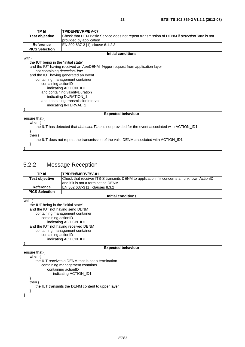| <b>TP Id</b>                          | TP/DEN/EVRP/BV-07                                                                                 |  |
|---------------------------------------|---------------------------------------------------------------------------------------------------|--|
| <b>Test objective</b>                 | Check that DEN Basic Service does not repeat transmission of DENM if <i>detectionTime</i> is not  |  |
|                                       | provided by application                                                                           |  |
| <b>Reference</b>                      | EN 302 637-3 [1], clause 6.1.2.3                                                                  |  |
| <b>PICS Selection</b>                 |                                                                                                   |  |
|                                       | <b>Initial conditions</b>                                                                         |  |
| with $\{$                             |                                                                                                   |  |
| the IUT being in the "initial state"  |                                                                                                   |  |
|                                       | and the IUT having received an AppDENM_trigger request from application layer                     |  |
| not containing detection Time         |                                                                                                   |  |
| and the IUT having generated an event |                                                                                                   |  |
|                                       | containing management container                                                                   |  |
|                                       | containing actionID                                                                               |  |
|                                       | indicating ACTION_ID1                                                                             |  |
| and containing validity Duration      |                                                                                                   |  |
|                                       | indicating DURATION_1                                                                             |  |
| and containing transmissionInterval   |                                                                                                   |  |
| indicating INTERVAL_1                 |                                                                                                   |  |
|                                       |                                                                                                   |  |
|                                       | <b>Expected behaviour</b>                                                                         |  |
| ensure that {<br>when $\{$            |                                                                                                   |  |
|                                       | the IUT has detected that detection Time is not provided for the event associated with ACTION_ID1 |  |
|                                       |                                                                                                   |  |
| then $\{$                             |                                                                                                   |  |
|                                       | the IUT does not repeat the transmission of the valid DENM associated with ACTION_ID1             |  |

# 5.2.2 Message Reception

 } }

| <b>TP Id</b>                                           | TP/DEN/MSRV/BV-01                                                                          |
|--------------------------------------------------------|--------------------------------------------------------------------------------------------|
| <b>Test objective</b>                                  | Check that receiver ITS-S transmits DENM to application if it concerns an unknown ActionID |
|                                                        | and if it is not a termination DENM                                                        |
| Reference                                              | EN 302 637-3 [1], clauses 8.3.2                                                            |
| <b>PICS Selection</b>                                  |                                                                                            |
|                                                        | <b>Initial conditions</b>                                                                  |
| with $\{$                                              |                                                                                            |
| the IUT being in the "initial state"                   |                                                                                            |
| and the IUT not having send DENM                       |                                                                                            |
|                                                        | containing management container                                                            |
| containing actionID                                    |                                                                                            |
|                                                        | indicating ACTION_ID1                                                                      |
| and the IUT not having received DENM                   |                                                                                            |
|                                                        | containing management container                                                            |
| containing actionID                                    |                                                                                            |
| indicating ACTION_ID1                                  |                                                                                            |
|                                                        |                                                                                            |
|                                                        | <b>Expected behaviour</b>                                                                  |
| ensure that {<br>when $\{$                             |                                                                                            |
|                                                        | the IUT receives a DENM that is not a termination                                          |
|                                                        |                                                                                            |
| containing management container<br>containing actionID |                                                                                            |
| indicating ACTION_ID1                                  |                                                                                            |
|                                                        |                                                                                            |
| then $\{$                                              |                                                                                            |
| the IUT transmits the DENM content to upper layer      |                                                                                            |
|                                                        |                                                                                            |
|                                                        |                                                                                            |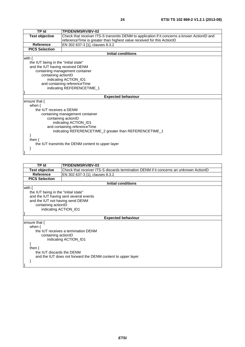| TP Id                                | TP/DEN/MSRV/BV-02                                                                           |  |
|--------------------------------------|---------------------------------------------------------------------------------------------|--|
| <b>Test objective</b>                | Check that receiver ITS-S transmits DENM to application if it concerns a known ActionID and |  |
|                                      | referenceTime is greater than highest value received for this ActionID                      |  |
| Reference                            | EN 302 637-3 [1], clauses 8.3.2                                                             |  |
| <b>PICS Selection</b>                |                                                                                             |  |
|                                      | <b>Initial conditions</b>                                                                   |  |
| with $\{$                            |                                                                                             |  |
| the IUT being in the "initial state" |                                                                                             |  |
| and the IUT having received DENM     |                                                                                             |  |
|                                      | containing management container                                                             |  |
|                                      | containing actionID                                                                         |  |
|                                      | indicating ACTION_ID1                                                                       |  |
|                                      | and containing reference Time                                                               |  |
|                                      | indicating REFERENCETIME_1                                                                  |  |
|                                      |                                                                                             |  |
|                                      | <b>Expected behaviour</b>                                                                   |  |
| ensure that {                        |                                                                                             |  |
| when $\{$                            |                                                                                             |  |
| the IUT receives a DENM              |                                                                                             |  |
|                                      | containing management container                                                             |  |
|                                      | containing actionID                                                                         |  |
|                                      | indicating ACTION_ID1                                                                       |  |
| and containing referenceTime         |                                                                                             |  |
|                                      | indicating REFERENCETIME_2 greater than REFERENCETIME_1                                     |  |
|                                      |                                                                                             |  |
| then $\{$                            |                                                                                             |  |
|                                      | the IUT transmits the DENM content to upper layer                                           |  |
|                                      |                                                                                             |  |
|                                      |                                                                                             |  |

| TP Id                                | TP/DEN/MSRV/BV-03                                                                      |  |
|--------------------------------------|----------------------------------------------------------------------------------------|--|
| <b>Test objective</b>                | Check that receiver ITS-S discards termination DENM if it concerns an unknown ActionID |  |
| <b>Reference</b>                     | EN 302 637-3 [1], clauses 8.3.2                                                        |  |
| <b>PICS Selection</b>                |                                                                                        |  |
|                                      | <b>Initial conditions</b>                                                              |  |
| with $\{$                            |                                                                                        |  |
| the IUT being in the "initial state" |                                                                                        |  |
|                                      | and the IUT having sent several events                                                 |  |
| and the IUT not having send DENM     |                                                                                        |  |
| containing actionID                  |                                                                                        |  |
| indicating ACTION_ID1                |                                                                                        |  |
|                                      |                                                                                        |  |
|                                      | <b>Expected behaviour</b>                                                              |  |
| ensure that $\{$                     |                                                                                        |  |
| when $\{$                            |                                                                                        |  |
|                                      | the IUT receives a termination DENM                                                    |  |
| containing actionID                  |                                                                                        |  |
| indicating ACTION_ID1                |                                                                                        |  |
|                                      |                                                                                        |  |
| then $\{$                            |                                                                                        |  |
| the IUT discards the DENM            |                                                                                        |  |
|                                      | and the IUT does not forward the DENM content to upper layer                           |  |
|                                      |                                                                                        |  |
|                                      |                                                                                        |  |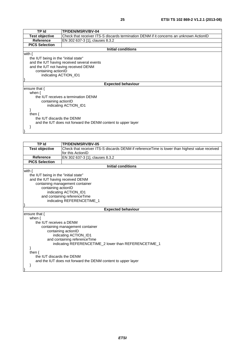| <b>TP Id</b>                         | <b>TP/DEN/MSRV/BV-04</b>                                                               |  |  |
|--------------------------------------|----------------------------------------------------------------------------------------|--|--|
| <b>Test objective</b>                | Check that receiver ITS-S discards termination DENM if it concerns an unknown ActionID |  |  |
| <b>Reference</b>                     | EN 302 637-3 [1], clauses 8.3.2                                                        |  |  |
| <b>PICS Selection</b>                |                                                                                        |  |  |
|                                      | <b>Initial conditions</b>                                                              |  |  |
| with $\{$                            |                                                                                        |  |  |
| the IUT being in the "initial state" |                                                                                        |  |  |
|                                      | and the IUT having received several events                                             |  |  |
|                                      | and the IUT not having received DENM                                                   |  |  |
|                                      | containing actionID                                                                    |  |  |
| indicating ACTION ID1                |                                                                                        |  |  |
|                                      |                                                                                        |  |  |
|                                      | <b>Expected behaviour</b>                                                              |  |  |
| ensure that $\{$                     |                                                                                        |  |  |
| when $\{$                            |                                                                                        |  |  |
|                                      | the IUT receives a termination DENM                                                    |  |  |
|                                      | containing actionID                                                                    |  |  |
|                                      | indicating ACTION ID1                                                                  |  |  |
|                                      |                                                                                        |  |  |
| then $\{$                            |                                                                                        |  |  |
| the IUT discards the DENM            |                                                                                        |  |  |
|                                      | and the IUT does not forward the DENM content to upper layer                           |  |  |
|                                      |                                                                                        |  |  |
|                                      |                                                                                        |  |  |

| <b>TP Id</b>                                                                          | TP/DEN/MSRV/BV-05                                                                             |  |
|---------------------------------------------------------------------------------------|-----------------------------------------------------------------------------------------------|--|
| <b>Test objective</b>                                                                 | Check that receiver ITS-S discards DENM if referenceTime is lower than highest value received |  |
|                                                                                       | for this ActionID                                                                             |  |
| <b>Reference</b>                                                                      | EN 302 637-3 [1], clauses 8.3.2                                                               |  |
| <b>PICS Selection</b>                                                                 |                                                                                               |  |
|                                                                                       | <b>Initial conditions</b>                                                                     |  |
| with $\{$                                                                             |                                                                                               |  |
| the IUT being in the "initial state"                                                  |                                                                                               |  |
| and the IUT having received DENM                                                      |                                                                                               |  |
|                                                                                       | containing management container                                                               |  |
| containing actionID                                                                   |                                                                                               |  |
|                                                                                       | indicating ACTION_ID1                                                                         |  |
|                                                                                       | and containing referenceTime                                                                  |  |
|                                                                                       | indicating REFERENCETIME_1                                                                    |  |
|                                                                                       |                                                                                               |  |
|                                                                                       | <b>Expected behaviour</b>                                                                     |  |
| ensure that {                                                                         |                                                                                               |  |
| when $\{$<br>the IUT receives a DENM                                                  |                                                                                               |  |
|                                                                                       |                                                                                               |  |
|                                                                                       | containing management container                                                               |  |
|                                                                                       | containing actionID<br>indicating ACTION_ID1                                                  |  |
|                                                                                       |                                                                                               |  |
| and containing referenceTime<br>indicating REFERENCETIME_2 lower than REFERENCETIME_1 |                                                                                               |  |
|                                                                                       |                                                                                               |  |
| then $\{$                                                                             |                                                                                               |  |
| the IUT discards the DENM                                                             |                                                                                               |  |
|                                                                                       | and the IUT does not forward the DENM content to upper layer                                  |  |
|                                                                                       |                                                                                               |  |
|                                                                                       |                                                                                               |  |
|                                                                                       |                                                                                               |  |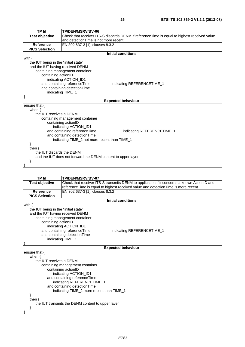| <b>TP Id</b>                                                 | TP/DEN/MSRV/BV-06                                                                           |  |
|--------------------------------------------------------------|---------------------------------------------------------------------------------------------|--|
| <b>Test objective</b>                                        | Check that receiver ITS-S discards DENM if referenceTime is equal to highest received value |  |
|                                                              | and detection Time is not more recent                                                       |  |
| <b>Reference</b>                                             | EN 302 637-3 [1], clauses 8.3.2                                                             |  |
| <b>PICS Selection</b>                                        |                                                                                             |  |
|                                                              | Initial conditions                                                                          |  |
| with $\{$                                                    |                                                                                             |  |
| the IUT being in the "initial state"                         |                                                                                             |  |
| and the IUT having received DENM                             |                                                                                             |  |
|                                                              | containing management container                                                             |  |
|                                                              | containing actionID                                                                         |  |
|                                                              | indicating ACTION_ID1                                                                       |  |
|                                                              | and containing referenceTime<br>indicating REFERENCETIME_1                                  |  |
|                                                              | and containing detectionTime                                                                |  |
|                                                              | indicating TIME_1                                                                           |  |
|                                                              | <b>Expected behaviour</b>                                                                   |  |
|                                                              |                                                                                             |  |
| ensure that {<br>when $\{$                                   |                                                                                             |  |
| the IUT receives a DENM                                      |                                                                                             |  |
|                                                              | containing management container                                                             |  |
|                                                              | containing actionID                                                                         |  |
|                                                              | indicating ACTION_ID1                                                                       |  |
| and containing referenceTime<br>indicating REFERENCETIME_1   |                                                                                             |  |
|                                                              | and containing detectionTime                                                                |  |
| indicating TIME_2 not more recent than TIME_1                |                                                                                             |  |
|                                                              |                                                                                             |  |
| then $\{$                                                    |                                                                                             |  |
| the IUT discards the DENM                                    |                                                                                             |  |
| and the IUT does not forward the DENM content to upper layer |                                                                                             |  |
|                                                              |                                                                                             |  |
|                                                              |                                                                                             |  |

| TP Id                                                      | TP/DEN/MSRV/BV-07                                                                           |  |
|------------------------------------------------------------|---------------------------------------------------------------------------------------------|--|
| <b>Test objective</b>                                      | Check that receiver ITS-S transmits DENM to application if it concerns a known ActionID and |  |
|                                                            | referenceTime is equal to highest received value and detectionTime is more recent           |  |
| Reference                                                  | EN 302 637-3 [1], clauses 8.3.2                                                             |  |
| <b>PICS Selection</b>                                      |                                                                                             |  |
|                                                            | <b>Initial conditions</b>                                                                   |  |
| with $\{$                                                  |                                                                                             |  |
| the IUT being in the "initial state"                       |                                                                                             |  |
| and the IUT having received DENM                           |                                                                                             |  |
|                                                            | containing management container                                                             |  |
|                                                            | containing actionID                                                                         |  |
|                                                            | indicating ACTION_ID1                                                                       |  |
| and containing referenceTime<br>indicating REFERENCETIME_1 |                                                                                             |  |
|                                                            | and containing detection Time<br>indicating TIME_1                                          |  |
|                                                            |                                                                                             |  |
|                                                            | <b>Expected behaviour</b>                                                                   |  |
| ensure that {                                              |                                                                                             |  |
| when $\{$                                                  |                                                                                             |  |
| the IUT receives a DENM                                    |                                                                                             |  |
|                                                            | containing management container                                                             |  |
|                                                            | containing actionID                                                                         |  |
|                                                            | indicating ACTION_ID1                                                                       |  |
|                                                            | and containing referenceTime                                                                |  |
| indicating REFERENCETIME_1                                 |                                                                                             |  |
| and containing detectionTime                               |                                                                                             |  |
|                                                            | indicating TIME_2 more recent than TIME_1                                                   |  |
|                                                            |                                                                                             |  |
|                                                            | then $\{$<br>the IUT transmits the DENM content to upper layer                              |  |
|                                                            |                                                                                             |  |
|                                                            |                                                                                             |  |
|                                                            |                                                                                             |  |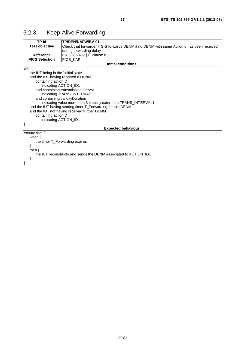| 5.2.3 | <b>Keep-Alive Forwarding</b> |
|-------|------------------------------|
|-------|------------------------------|

| TP Id                                                           | TP/DEN/KAFW/BV-01                                                                        |  |
|-----------------------------------------------------------------|------------------------------------------------------------------------------------------|--|
| <b>Test objective</b>                                           | Check that forwarder ITS-S forwards DENM if no DENM with same ActionId has been received |  |
|                                                                 | during forwarding delay                                                                  |  |
| Reference                                                       | EN 302 637-3 [1], clause 8.2.2                                                           |  |
| <b>PICS Selection</b>                                           | PICS_KAF                                                                                 |  |
|                                                                 | <b>Initial conditions</b>                                                                |  |
| with $\{$                                                       |                                                                                          |  |
| the IUT being in the "initial state"                            |                                                                                          |  |
| and the IUT having received a DENM                              |                                                                                          |  |
| containing actionID                                             |                                                                                          |  |
| indicating ACTION_ID1                                           |                                                                                          |  |
|                                                                 | and containing transmissionInterval                                                      |  |
|                                                                 | indicating TRANS_INTERVAL1                                                               |  |
| and containing validity Duration                                |                                                                                          |  |
| indicating value more than 3 times greater than TRANS_INTERVAL1 |                                                                                          |  |
|                                                                 | and the IUT having starting timer T_Forwarding for this DENM                             |  |
|                                                                 | and the IUT not having received further DENM                                             |  |
| containing actionID                                             |                                                                                          |  |
| indicating ACTION_ID1                                           |                                                                                          |  |
|                                                                 |                                                                                          |  |
| <b>Expected behaviour</b>                                       |                                                                                          |  |
| ensure that $\{$                                                |                                                                                          |  |
| when $\{$                                                       |                                                                                          |  |
| the timer T_Forwarding expires                                  |                                                                                          |  |
|                                                                 |                                                                                          |  |
| then $\{$                                                       |                                                                                          |  |
|                                                                 | the IUT reconstructs and sends the DENM associated to ACTION ID1                         |  |
|                                                                 |                                                                                          |  |
|                                                                 |                                                                                          |  |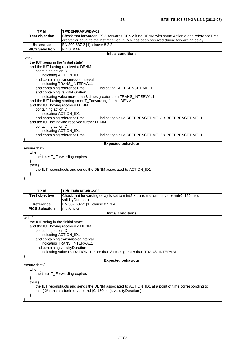| <b>TP Id</b>                                                     | TP/DEN/KAFW/BV-02                                                                        |  |
|------------------------------------------------------------------|------------------------------------------------------------------------------------------|--|
| <b>Test objective</b>                                            | Check that forwarder ITS-S forwards DENM if no DENM with same ActionId and referenceTime |  |
|                                                                  | greater or equal to the last received DENM has been received during forwarding delay     |  |
| <b>Reference</b>                                                 | EN 302 637-3 [1], clause 8.2.2                                                           |  |
| <b>PICS Selection</b>                                            | PICS_KAF                                                                                 |  |
|                                                                  | <b>Initial conditions</b>                                                                |  |
| with $\{$                                                        |                                                                                          |  |
| the IUT being in the "initial state"                             |                                                                                          |  |
| and the IUT having received a DENM                               |                                                                                          |  |
| containing actionID                                              |                                                                                          |  |
| indicating ACTION_ID1                                            |                                                                                          |  |
|                                                                  | and containing transmissionInterval                                                      |  |
|                                                                  | indicating TRANS_INTERVAL1                                                               |  |
| and containing referenceTime                                     | indicating REFERENCETIME_1                                                               |  |
| and containing validityDuration                                  |                                                                                          |  |
|                                                                  | indicating value more than 3 times greater than TRANS_INTERVAL1                          |  |
|                                                                  | and the IUT having starting timer T_Forwarding for this DENM                             |  |
|                                                                  | and the IUT having received DENM                                                         |  |
| containing actionID                                              |                                                                                          |  |
|                                                                  | indicating ACTION_ID1                                                                    |  |
|                                                                  | and containing referenceTime<br>indicating value REFERENCETIME_2 < REFERENCETIME_1       |  |
|                                                                  | and the IUT not having received further DENM                                             |  |
| containing actionID                                              |                                                                                          |  |
| indicating ACTION_ID1                                            |                                                                                          |  |
| and containing referenceTime                                     | indicating value REFERENCETIME 3 > REFERENCETIME 1                                       |  |
|                                                                  | <b>Expected behaviour</b>                                                                |  |
| ensure that {                                                    |                                                                                          |  |
| when $\{$                                                        |                                                                                          |  |
| the timer T_Forwarding expires                                   |                                                                                          |  |
|                                                                  |                                                                                          |  |
| then $\{$                                                        |                                                                                          |  |
| the IUT reconstructs and sends the DENM associated to ACTION ID1 |                                                                                          |  |
| }                                                                |                                                                                          |  |
|                                                                  |                                                                                          |  |

| <b>TP Id</b>                         | TP/DEN/KAFW/BV-03                                                                                    |  |  |
|--------------------------------------|------------------------------------------------------------------------------------------------------|--|--|
| <b>Test objective</b>                | Check that forwarding delay is set to min( $2 \times$ transmissionInterval + rnd(0, 150 ms),         |  |  |
|                                      | validityDuration)                                                                                    |  |  |
| Reference                            | EN 302 637-3 [1], clause 8.2.1.4                                                                     |  |  |
| <b>PICS Selection</b>                | <b>PICS KAF</b>                                                                                      |  |  |
|                                      | Initial conditions                                                                                   |  |  |
| with $\{$                            |                                                                                                      |  |  |
| the IUT being in the "initial state" |                                                                                                      |  |  |
| and the IUT having received a DENM   |                                                                                                      |  |  |
|                                      | containing actionID                                                                                  |  |  |
|                                      | indicating ACTION_ID1                                                                                |  |  |
|                                      | and containing transmissionInterval                                                                  |  |  |
|                                      | indicating TRANS INTERVAL1                                                                           |  |  |
| and containing validity Duration     |                                                                                                      |  |  |
|                                      | indicating value DURATION_1 more than 3 times greater than TRANS_INTERVAL1                           |  |  |
|                                      |                                                                                                      |  |  |
|                                      | <b>Expected behaviour</b>                                                                            |  |  |
| ensure that $\{$                     |                                                                                                      |  |  |
| when $\{$                            |                                                                                                      |  |  |
| the timer T_Forwarding expires       |                                                                                                      |  |  |
| <sup>}</sup>                         |                                                                                                      |  |  |
| then $\{$                            |                                                                                                      |  |  |
|                                      | the IUT reconstructs and sends the DENM associated to ACTION_ID1 at a point of time corresponding to |  |  |
|                                      | min ( $2^*$ transmissionInterval + rnd (0, 150 ms), validityDuration)                                |  |  |
|                                      |                                                                                                      |  |  |
|                                      |                                                                                                      |  |  |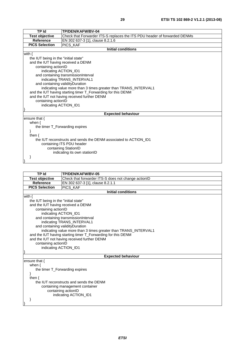| <b>TP Id</b>                                                     | TP/DEN/KAFW/BV-04                                                         |  |  |
|------------------------------------------------------------------|---------------------------------------------------------------------------|--|--|
| <b>Test objective</b>                                            | Check that Forwarder ITS-S replaces the ITS PDU header of forwarded DENMs |  |  |
| <b>Reference</b>                                                 | EN 302 637-3 [1], clause 8.2.1.6                                          |  |  |
| <b>PICS Selection</b>                                            | PICS_KAF                                                                  |  |  |
|                                                                  | <b>Initial conditions</b>                                                 |  |  |
| with $\{$                                                        |                                                                           |  |  |
| the IUT being in the "initial state"                             |                                                                           |  |  |
| and the IUT having received a DENM                               |                                                                           |  |  |
| containing actionID                                              |                                                                           |  |  |
| indicating ACTION_ID1                                            |                                                                           |  |  |
|                                                                  | and containing transmissionInterval                                       |  |  |
|                                                                  | indicating TRANS_INTERVAL1                                                |  |  |
| and containing validityDuration                                  |                                                                           |  |  |
|                                                                  | indicating value more than 3 times greater than TRANS_INTERVAL1           |  |  |
| and the IUT having starting timer T_Forwarding for this DENM     |                                                                           |  |  |
| and the IUT not having received further DENM                     |                                                                           |  |  |
| containing actionID                                              |                                                                           |  |  |
| indicating ACTION_ID1                                            |                                                                           |  |  |
|                                                                  |                                                                           |  |  |
|                                                                  | <b>Expected behaviour</b>                                                 |  |  |
| ensure that $\{$                                                 |                                                                           |  |  |
| when $\{$                                                        |                                                                           |  |  |
| the timer T_Forwarding expires                                   |                                                                           |  |  |
|                                                                  |                                                                           |  |  |
| then $\{$                                                        |                                                                           |  |  |
| the IUT reconstructs and sends the DENM associated to ACTION ID1 |                                                                           |  |  |
| containing ITS PDU header                                        |                                                                           |  |  |
| containing StationID                                             |                                                                           |  |  |
| indicating its own stationID                                     |                                                                           |  |  |
|                                                                  |                                                                           |  |  |

}

**TP Id TP/DEN/KAFW/BV-05 Test objective** Check that forwarder ITS-S does not change actionID<br>Reference EN 302 637-3 [1], clause 8.2.1.1 **EN 302 637-3 [1], clause 8.2.1.1**<br>PICS\_KAF **PICS** Selection **Initial conditions** with { the IUT being in the "initial state" and the IUT having received a DENM containing actionID indicating ACTION\_ID1 and containing transmissionInterval indicating TRANS\_INTERVAL1 and containing validityDuration indicating value more than 3 times greater than TRANS\_INTERVAL1 and the IUT having starting timer T\_Forwarding for this DENM and the IUT not having received further DENM containing actionID indicating ACTION\_ID1 } **Expected behaviour** ensure that { when { the timer T\_Forwarding expires } then { the IUT reconstructs and sends the DENM containing management container containing actionID indicating ACTION\_ID1 } }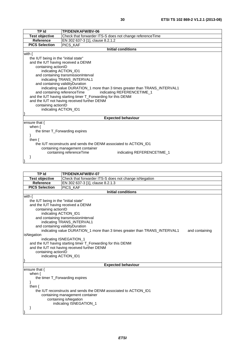| <b>TP Id</b>                                                     | TP/DEN/KAFW/BV-06                                                          |  |  |
|------------------------------------------------------------------|----------------------------------------------------------------------------|--|--|
| <b>Test objective</b>                                            | Check that forwarder ITS-S does not change referenceTime                   |  |  |
| <b>Reference</b>                                                 | EN 302 637-3 [1], clause 8.2.1.2                                           |  |  |
| <b>PICS Selection</b>                                            | PICS_KAF                                                                   |  |  |
|                                                                  | <b>Initial conditions</b>                                                  |  |  |
| with $\{$                                                        |                                                                            |  |  |
| the IUT being in the "initial state"                             |                                                                            |  |  |
| and the IUT having received a DENM                               |                                                                            |  |  |
| containing actionID                                              |                                                                            |  |  |
| indicating ACTION_ID1                                            |                                                                            |  |  |
|                                                                  | and containing transmissionInterval                                        |  |  |
|                                                                  | indicating TRANS_INTERVAL1                                                 |  |  |
| and containing validityDuration                                  |                                                                            |  |  |
|                                                                  | indicating value DURATION_1 more than 3 times greater than TRANS_INTERVAL1 |  |  |
| and containing referenceTime                                     | indicating REFERENCETIME_1                                                 |  |  |
|                                                                  | and the IUT having starting timer T_Forwarding for this DENM               |  |  |
|                                                                  | and the IUT not having received further DENM                               |  |  |
| containing actionID<br>indicating ACTION_ID1                     |                                                                            |  |  |
|                                                                  |                                                                            |  |  |
|                                                                  | <b>Expected behaviour</b>                                                  |  |  |
| ensure that {                                                    |                                                                            |  |  |
| when $\{$                                                        |                                                                            |  |  |
| the timer T_Forwarding expires                                   |                                                                            |  |  |
|                                                                  |                                                                            |  |  |
| then $\{$                                                        |                                                                            |  |  |
| the IUT reconstructs and sends the DENM associated to ACTION ID1 |                                                                            |  |  |
| containing management container                                  |                                                                            |  |  |
|                                                                  | containing referenceTime<br>indicating REFERENCETIME_1                     |  |  |
|                                                                  |                                                                            |  |  |
|                                                                  |                                                                            |  |  |
|                                                                  |                                                                            |  |  |
| TP Id                                                            | TP/DEN/KAFW/BV-07                                                          |  |  |

| <b>Test objective</b>                                                                        | Check that forwarder ITS-S does not change isNegation        |  |  |  |  |
|----------------------------------------------------------------------------------------------|--------------------------------------------------------------|--|--|--|--|
| <b>Reference</b>                                                                             | EN 302 637-3 [1], clause 8.2.1.3                             |  |  |  |  |
| <b>PICS Selection</b>                                                                        | <b>PICS KAF</b>                                              |  |  |  |  |
|                                                                                              | <b>Initial conditions</b>                                    |  |  |  |  |
| with $\{$                                                                                    |                                                              |  |  |  |  |
| the IUT being in the "initial state"                                                         |                                                              |  |  |  |  |
| and the IUT having received a DENM                                                           |                                                              |  |  |  |  |
| containing actionID                                                                          |                                                              |  |  |  |  |
| indicating ACTION_ID1                                                                        |                                                              |  |  |  |  |
|                                                                                              | and containing transmissionInterval                          |  |  |  |  |
|                                                                                              | indicating TRANS INTERVAL1                                   |  |  |  |  |
| and containing validity Duration                                                             |                                                              |  |  |  |  |
| indicating value DURATION_1 more than 3 times greater than TRANS_INTERVAL1<br>and containing |                                                              |  |  |  |  |
| isNegation                                                                                   |                                                              |  |  |  |  |
|                                                                                              | indicating ISNEGATION 1                                      |  |  |  |  |
|                                                                                              | and the IUT having starting timer T_Forwarding for this DENM |  |  |  |  |
|                                                                                              | and the IUT not having received further DENM                 |  |  |  |  |
| containing actionID                                                                          |                                                              |  |  |  |  |
| indicating ACTION_ID1                                                                        |                                                              |  |  |  |  |
|                                                                                              |                                                              |  |  |  |  |
|                                                                                              | <b>Expected behaviour</b>                                    |  |  |  |  |
| ensure that {                                                                                |                                                              |  |  |  |  |
|                                                                                              | when $\{$                                                    |  |  |  |  |
| the timer T_Forwarding expires                                                               |                                                              |  |  |  |  |
|                                                                                              |                                                              |  |  |  |  |
| then $\{$                                                                                    |                                                              |  |  |  |  |
| the IUT reconstructs and sends the DENM associated to ACTION ID1                             |                                                              |  |  |  |  |
| containing management container                                                              |                                                              |  |  |  |  |
| containing isNegation                                                                        |                                                              |  |  |  |  |
| indicating ISNEGATION 1                                                                      |                                                              |  |  |  |  |
|                                                                                              |                                                              |  |  |  |  |
|                                                                                              |                                                              |  |  |  |  |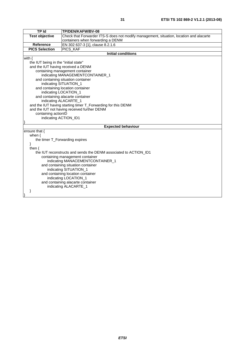| <b>TP Id</b>                         | TP/DEN/KAFW/BV-08                                                                       |  |  |  |  |
|--------------------------------------|-----------------------------------------------------------------------------------------|--|--|--|--|
| <b>Test objective</b>                | Check that Forwarder ITS-S does not modify management, situation, location and alacarte |  |  |  |  |
|                                      | containers when forwarding a DENM                                                       |  |  |  |  |
| Reference                            | EN 302 637-3 [1], clause 8.2.1.6                                                        |  |  |  |  |
| <b>PICS Selection</b>                | PICS_KAF                                                                                |  |  |  |  |
|                                      | <b>Initial conditions</b>                                                               |  |  |  |  |
| with $\{$                            |                                                                                         |  |  |  |  |
| the IUT being in the "initial state" |                                                                                         |  |  |  |  |
| and the IUT having received a DENM   |                                                                                         |  |  |  |  |
|                                      | containing management container                                                         |  |  |  |  |
|                                      | indicating MANAGEMENTCONTAINER_1                                                        |  |  |  |  |
| and containing situation container   |                                                                                         |  |  |  |  |
| indicating SITUATION_1               |                                                                                         |  |  |  |  |
|                                      | and containing location container                                                       |  |  |  |  |
|                                      | indicating LOCATION_1                                                                   |  |  |  |  |
|                                      | and containing alacarte container<br>indicating ALACARTE_1                              |  |  |  |  |
|                                      | and the IUT having starting timer T_Forwarding for this DENM                            |  |  |  |  |
|                                      | and the IUT not having received further DENM                                            |  |  |  |  |
| containing actionID                  |                                                                                         |  |  |  |  |
| indicating ACTION_ID1                |                                                                                         |  |  |  |  |
|                                      |                                                                                         |  |  |  |  |
|                                      | <b>Expected behaviour</b>                                                               |  |  |  |  |
| ensure that {                        |                                                                                         |  |  |  |  |
| when $\{$                            |                                                                                         |  |  |  |  |
|                                      | the timer T_Forwarding expires                                                          |  |  |  |  |
|                                      |                                                                                         |  |  |  |  |
| then $\{$                            |                                                                                         |  |  |  |  |
|                                      | the IUT reconstructs and sends the DENM associated to ACTION_ID1                        |  |  |  |  |
| containing management container      |                                                                                         |  |  |  |  |
|                                      | indicating MANACEMENTCONTAINER_1                                                        |  |  |  |  |
| and containing situation container   |                                                                                         |  |  |  |  |
| indicating SITUATION_1               |                                                                                         |  |  |  |  |
| and containing location container    |                                                                                         |  |  |  |  |
| indicating LOCATION_1                |                                                                                         |  |  |  |  |
| and containing alacarte container    |                                                                                         |  |  |  |  |
| indicating ALACARTE_1                |                                                                                         |  |  |  |  |
| ł                                    |                                                                                         |  |  |  |  |
|                                      |                                                                                         |  |  |  |  |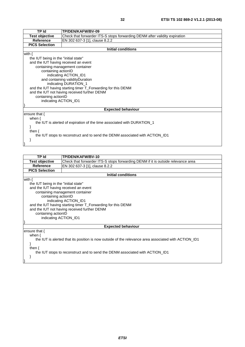| TP Id                                                                                                        | TP/DEN/KAFW/BV-09                                                          |  |  |  |
|--------------------------------------------------------------------------------------------------------------|----------------------------------------------------------------------------|--|--|--|
| <b>Test objective</b>                                                                                        | Check that forwarder ITS-S stops forwarding DENM after validity expiration |  |  |  |
| Reference                                                                                                    | EN 302 637-3 [1], clause 8.2.2                                             |  |  |  |
| <b>PICS Selection</b>                                                                                        |                                                                            |  |  |  |
|                                                                                                              | <b>Initial conditions</b>                                                  |  |  |  |
| with $\{$                                                                                                    |                                                                            |  |  |  |
| the IUT being in the "initial state"                                                                         |                                                                            |  |  |  |
| and the IUT having received an event                                                                         |                                                                            |  |  |  |
| containing management container                                                                              |                                                                            |  |  |  |
| containing actionID                                                                                          |                                                                            |  |  |  |
| indicating ACTION_ID1                                                                                        |                                                                            |  |  |  |
| and containing validityDuration                                                                              |                                                                            |  |  |  |
|                                                                                                              | indicating DURATION_1                                                      |  |  |  |
| and the IUT having starting timer T_Forwarding for this DENM<br>and the IUT not having received further DENM |                                                                            |  |  |  |
|                                                                                                              |                                                                            |  |  |  |
|                                                                                                              | containing actionID                                                        |  |  |  |
|                                                                                                              | indicating ACTION_ID1                                                      |  |  |  |
| <b>Expected behaviour</b>                                                                                    |                                                                            |  |  |  |
| ensure that {                                                                                                |                                                                            |  |  |  |
| when $\{$                                                                                                    |                                                                            |  |  |  |
|                                                                                                              | the IUT is alerted of expiration of the time associated with DURATION 1    |  |  |  |
|                                                                                                              |                                                                            |  |  |  |
| then $\{$                                                                                                    |                                                                            |  |  |  |
| the IUT stops to reconstruct and to send the DENM associated with ACTION_ID1                                 |                                                                            |  |  |  |
|                                                                                                              |                                                                            |  |  |  |

}

| TP Id                                                                                                | TP/DEN/KAFW/BV-10                                                                |  |  |  |  |
|------------------------------------------------------------------------------------------------------|----------------------------------------------------------------------------------|--|--|--|--|
| <b>Test objective</b>                                                                                | Check that forwarder ITS-S stops forwarding DENM if it is outside relevance area |  |  |  |  |
| <b>Reference</b>                                                                                     | EN 302 637-3 [1], clause 8.2.2                                                   |  |  |  |  |
| <b>PICS Selection</b>                                                                                |                                                                                  |  |  |  |  |
|                                                                                                      | <b>Initial conditions</b>                                                        |  |  |  |  |
| with $\{$                                                                                            |                                                                                  |  |  |  |  |
| the IUT being in the "initial state"                                                                 |                                                                                  |  |  |  |  |
| and the IUT having received an event                                                                 |                                                                                  |  |  |  |  |
| containing management container                                                                      |                                                                                  |  |  |  |  |
|                                                                                                      | containing actionID                                                              |  |  |  |  |
|                                                                                                      | indicating ACTION_ID1                                                            |  |  |  |  |
|                                                                                                      | and the IUT having starting timer T_Forwarding for this DENM                     |  |  |  |  |
|                                                                                                      | and the IUT not having received further DENM                                     |  |  |  |  |
| containing actionID                                                                                  |                                                                                  |  |  |  |  |
| indicating ACTION_ID1                                                                                |                                                                                  |  |  |  |  |
|                                                                                                      |                                                                                  |  |  |  |  |
| <b>Expected behaviour</b>                                                                            |                                                                                  |  |  |  |  |
| ensure that $\{$                                                                                     |                                                                                  |  |  |  |  |
| when $\{$                                                                                            |                                                                                  |  |  |  |  |
| the IUT is alerted that its position is now outside of the relevance area associated with ACTION ID1 |                                                                                  |  |  |  |  |
|                                                                                                      |                                                                                  |  |  |  |  |
| then $\{$                                                                                            |                                                                                  |  |  |  |  |
| the IUT stops to reconstruct and to send the DENM associated with ACTION_ID1                         |                                                                                  |  |  |  |  |
|                                                                                                      |                                                                                  |  |  |  |  |
|                                                                                                      |                                                                                  |  |  |  |  |
|                                                                                                      |                                                                                  |  |  |  |  |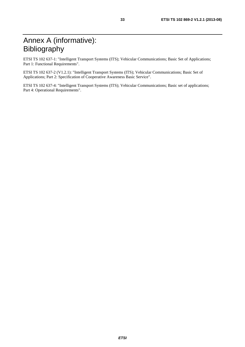# Annex A (informative): Bibliography

ETSI TS 102 637-1: "Intelligent Transport Systems (ITS); Vehicular Communications; Basic Set of Applications; Part 1: Functional Requirements".

ETSI TS 102 637-2 (V1.2.1): "Intelligent Transport Systems (ITS); Vehicular Communications; Basic Set of Applications; Part 2: Specification of Cooperative Awareness Basic Service".

ETSI TS 102 637-4: "Intelligent Transport Systems (ITS); Vehicular Communications; Basic set of applications; Part 4: Operational Requirements".